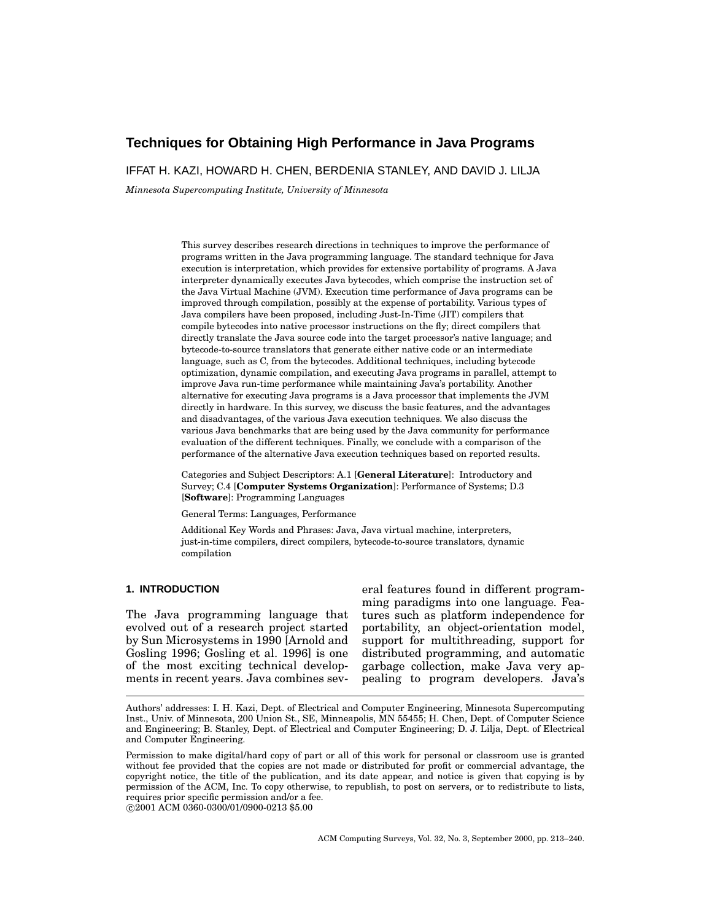# **Techniques for Obtaining High Performance in Java Programs**

IFFAT H. KAZI, HOWARD H. CHEN, BERDENIA STANLEY, AND DAVID J. LILJA

*Minnesota Supercomputing Institute, University of Minnesota*

This survey describes research directions in techniques to improve the performance of programs written in the Java programming language. The standard technique for Java execution is interpretation, which provides for extensive portability of programs. A Java interpreter dynamically executes Java bytecodes, which comprise the instruction set of the Java Virtual Machine (JVM). Execution time performance of Java programs can be improved through compilation, possibly at the expense of portability. Various types of Java compilers have been proposed, including Just-In-Time (JIT) compilers that compile bytecodes into native processor instructions on the fly; direct compilers that directly translate the Java source code into the target processor's native language; and bytecode-to-source translators that generate either native code or an intermediate language, such as C, from the bytecodes. Additional techniques, including bytecode optimization, dynamic compilation, and executing Java programs in parallel, attempt to improve Java run-time performance while maintaining Java's portability. Another alternative for executing Java programs is a Java processor that implements the JVM directly in hardware. In this survey, we discuss the basic features, and the advantages and disadvantages, of the various Java execution techniques. We also discuss the various Java benchmarks that are being used by the Java community for performance evaluation of the different techniques. Finally, we conclude with a comparison of the performance of the alternative Java execution techniques based on reported results.

Categories and Subject Descriptors: A.1 [**General Literature**]: Introductory and Survey; C.4 [**Computer Systems Organization**]: Performance of Systems; D.3 [**Software**]: Programming Languages

General Terms: Languages, Performance

Additional Key Words and Phrases: Java, Java virtual machine, interpreters, just-in-time compilers, direct compilers, bytecode-to-source translators, dynamic compilation

# **1. INTRODUCTION**

The Java programming language that evolved out of a research project started by Sun Microsystems in 1990 [Arnold and Gosling 1996; Gosling et al. 1996] is one of the most exciting technical developments in recent years. Java combines sev-

eral features found in different programming paradigms into one language. Features such as platform independence for portability, an object-orientation model, support for multithreading, support for distributed programming, and automatic garbage collection, make Java very appealing to program developers. Java's

Authors' addresses: I. H. Kazi, Dept. of Electrical and Computer Engineering, Minnesota Supercomputing Inst., Univ. of Minnesota, 200 Union St., SE, Minneapolis, MN 55455; H. Chen, Dept. of Computer Science and Engineering; B. Stanley, Dept. of Electrical and Computer Engineering; D. J. Lilja, Dept. of Electrical and Computer Engineering.

Permission to make digital/hard copy of part or all of this work for personal or classroom use is granted without fee provided that the copies are not made or distributed for profit or commercial advantage, the copyright notice, the title of the publication, and its date appear, and notice is given that copying is by permission of the ACM, Inc. To copy otherwise, to republish, to post on servers, or to redistribute to lists, requires prior specific permission and/or a fee.

<sup>°</sup>c 2001 ACM 0360-0300/01/0900-0213 \$5.00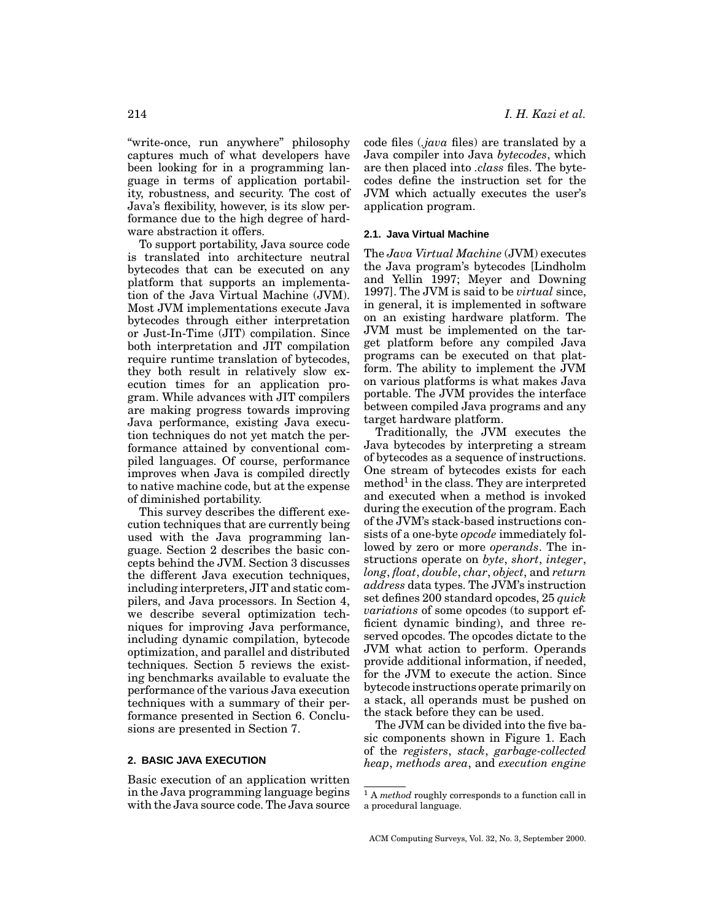"write-once, run anywhere" philosophy captures much of what developers have been looking for in a programming language in terms of application portability, robustness, and security. The cost of Java's flexibility, however, is its slow performance due to the high degree of hardware abstraction it offers.

To support portability, Java source code is translated into architecture neutral bytecodes that can be executed on any platform that supports an implementation of the Java Virtual Machine (JVM). Most JVM implementations execute Java bytecodes through either interpretation or Just-In-Time (JIT) compilation. Since both interpretation and JIT compilation require runtime translation of bytecodes, they both result in relatively slow execution times for an application program. While advances with JIT compilers are making progress towards improving Java performance, existing Java execution techniques do not yet match the performance attained by conventional compiled languages. Of course, performance improves when Java is compiled directly to native machine code, but at the expense of diminished portability.

This survey describes the different execution techniques that are currently being used with the Java programming language. Section 2 describes the basic concepts behind the JVM. Section 3 discusses the different Java execution techniques, including interpreters, JIT and static compilers, and Java processors. In Section 4, we describe several optimization techniques for improving Java performance, including dynamic compilation, bytecode optimization, and parallel and distributed techniques. Section 5 reviews the existing benchmarks available to evaluate the performance of the various Java execution techniques with a summary of their performance presented in Section 6. Conclusions are presented in Section 7.

## **2. BASIC JAVA EXECUTION**

Basic execution of an application written in the Java programming language begins with the Java source code. The Java source code files (*.java* files) are translated by a Java compiler into Java *bytecodes*, which are then placed into *.class* files. The bytecodes define the instruction set for the JVM which actually executes the user's application program.

### **2.1. Java Virtual Machine**

The *Java Virtual Machine* (JVM) executes the Java program's bytecodes [Lindholm and Yellin 1997; Meyer and Downing 1997]. The JVM is said to be *virtual* since, in general, it is implemented in software on an existing hardware platform. The JVM must be implemented on the target platform before any compiled Java programs can be executed on that platform. The ability to implement the JVM on various platforms is what makes Java portable. The JVM provides the interface between compiled Java programs and any target hardware platform.

Traditionally, the JVM executes the Java bytecodes by interpreting a stream of bytecodes as a sequence of instructions. One stream of bytecodes exists for each  $method<sup>1</sup>$  in the class. They are interpreted and executed when a method is invoked during the execution of the program. Each of the JVM's stack-based instructions consists of a one-byte *opcode* immediately followed by zero or more *operands*. The instructions operate on *byte*, *short*, *integer*, *long*, *float*, *double*, *char*, *object*, and *return address* data types. The JVM's instruction set defines 200 standard opcodes, 25 *quick variations* of some opcodes (to support efficient dynamic binding), and three reserved opcodes. The opcodes dictate to the JVM what action to perform. Operands provide additional information, if needed, for the JVM to execute the action. Since bytecode instructions operate primarily on a stack, all operands must be pushed on the stack before they can be used.

The JVM can be divided into the five basic components shown in Figure 1. Each of the *registers*, *stack*, *garbage-collected heap*, *methods area*, and *execution engine*

<sup>1</sup> A *method* roughly corresponds to a function call in a procedural language.

ACM Computing Surveys, Vol. 32, No. 3, September 2000.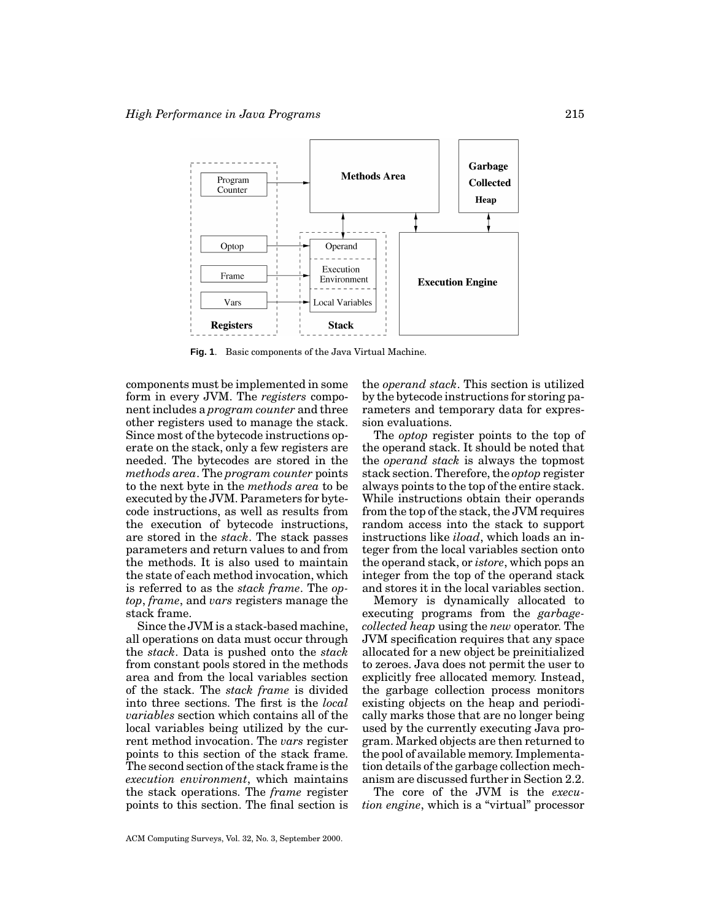

**Fig. 1**. Basic components of the Java Virtual Machine.

components must be implemented in some form in every JVM. The *registers* component includes a *program counter* and three other registers used to manage the stack. Since most of the bytecode instructions operate on the stack, only a few registers are needed. The bytecodes are stored in the *methods area*. The *program counter* points to the next byte in the *methods area* to be executed by the JVM. Parameters for bytecode instructions, as well as results from the execution of bytecode instructions, are stored in the *stack*. The stack passes parameters and return values to and from the methods. It is also used to maintain the state of each method invocation, which is referred to as the *stack frame*. The *optop*, *frame*, and *vars* registers manage the stack frame.

Since the JVM is a stack-based machine, all operations on data must occur through the *stack*. Data is pushed onto the *stack* from constant pools stored in the methods area and from the local variables section of the stack. The *stack frame* is divided into three sections. The first is the *local variables* section which contains all of the local variables being utilized by the current method invocation. The *vars* register points to this section of the stack frame. The second section of the stack frame is the *execution environment*, which maintains the stack operations. The *frame* register points to this section. The final section is

the *operand stack*. This section is utilized by the bytecode instructions for storing parameters and temporary data for expression evaluations.

The *optop* register points to the top of the operand stack. It should be noted that the *operand stack* is always the topmost stack section. Therefore, the *optop* register always points to the top of the entire stack. While instructions obtain their operands from the top of the stack, the JVM requires random access into the stack to support instructions like *iload*, which loads an integer from the local variables section onto the operand stack, or *istore*, which pops an integer from the top of the operand stack and stores it in the local variables section.

Memory is dynamically allocated to executing programs from the *garbagecollected heap* using the *new* operator. The JVM specification requires that any space allocated for a new object be preinitialized to zeroes. Java does not permit the user to explicitly free allocated memory. Instead, the garbage collection process monitors existing objects on the heap and periodically marks those that are no longer being used by the currently executing Java program. Marked objects are then returned to the pool of available memory. Implementation details of the garbage collection mechanism are discussed further in Section 2.2.

The core of the JVM is the *execution engine*, which is a "virtual" processor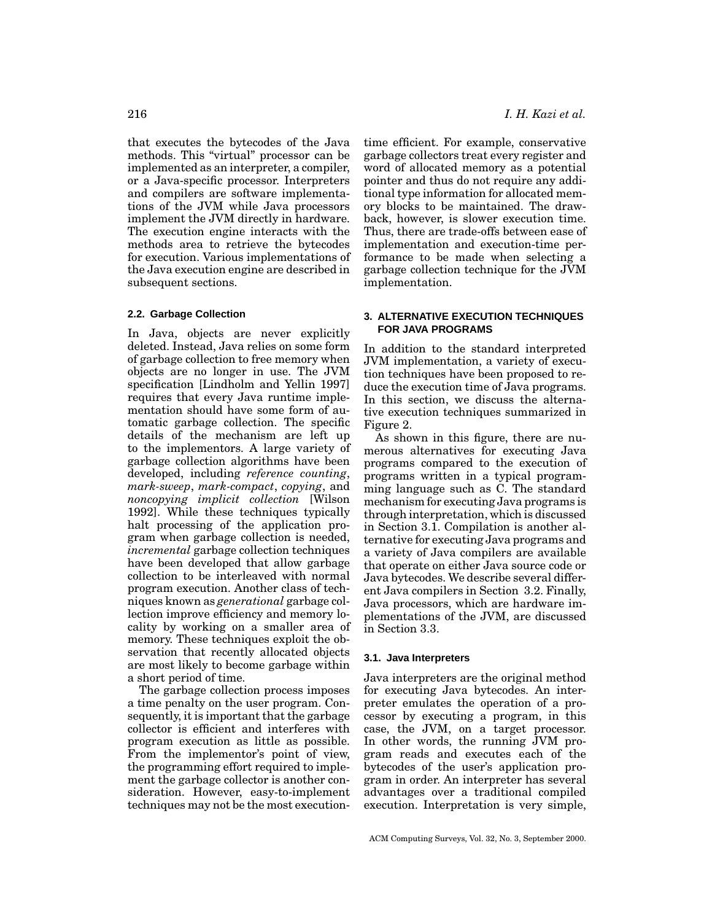that executes the bytecodes of the Java methods. This "virtual" processor can be implemented as an interpreter, a compiler, or a Java-specific processor. Interpreters and compilers are software implementations of the JVM while Java processors implement the JVM directly in hardware. The execution engine interacts with the methods area to retrieve the bytecodes for execution. Various implementations of the Java execution engine are described in subsequent sections.

### **2.2. Garbage Collection**

In Java, objects are never explicitly deleted. Instead, Java relies on some form of garbage collection to free memory when objects are no longer in use. The JVM specification [Lindholm and Yellin 1997] requires that every Java runtime implementation should have some form of automatic garbage collection. The specific details of the mechanism are left up to the implementors. A large variety of garbage collection algorithms have been developed, including *reference counting*, *mark-sweep*, *mark-compact*, *copying*, and *noncopying implicit collection* [Wilson 1992]. While these techniques typically halt processing of the application program when garbage collection is needed, *incremental* garbage collection techniques have been developed that allow garbage collection to be interleaved with normal program execution. Another class of techniques known as *generational* garbage collection improve efficiency and memory locality by working on a smaller area of memory. These techniques exploit the observation that recently allocated objects are most likely to become garbage within a short period of time.

The garbage collection process imposes a time penalty on the user program. Consequently, it is important that the garbage collector is efficient and interferes with program execution as little as possible. From the implementor's point of view, the programming effort required to implement the garbage collector is another consideration. However, easy-to-implement techniques may not be the most executiontime efficient. For example, conservative garbage collectors treat every register and word of allocated memory as a potential pointer and thus do not require any additional type information for allocated memory blocks to be maintained. The drawback, however, is slower execution time. Thus, there are trade-offs between ease of implementation and execution-time performance to be made when selecting a garbage collection technique for the JVM implementation.

## **3. ALTERNATIVE EXECUTION TECHNIQUES FOR JAVA PROGRAMS**

In addition to the standard interpreted JVM implementation, a variety of execution techniques have been proposed to reduce the execution time of Java programs. In this section, we discuss the alternative execution techniques summarized in Figure 2.

As shown in this figure, there are numerous alternatives for executing Java programs compared to the execution of programs written in a typical programming language such as C. The standard mechanism for executing Java programs is through interpretation, which is discussed in Section 3.1. Compilation is another alternative for executing Java programs and a variety of Java compilers are available that operate on either Java source code or Java bytecodes. We describe several different Java compilers in Section 3.2. Finally, Java processors, which are hardware implementations of the JVM, are discussed in Section 3.3.

### **3.1. Java Interpreters**

Java interpreters are the original method for executing Java bytecodes. An interpreter emulates the operation of a processor by executing a program, in this case, the JVM, on a target processor. In other words, the running JVM program reads and executes each of the bytecodes of the user's application program in order. An interpreter has several advantages over a traditional compiled execution. Interpretation is very simple,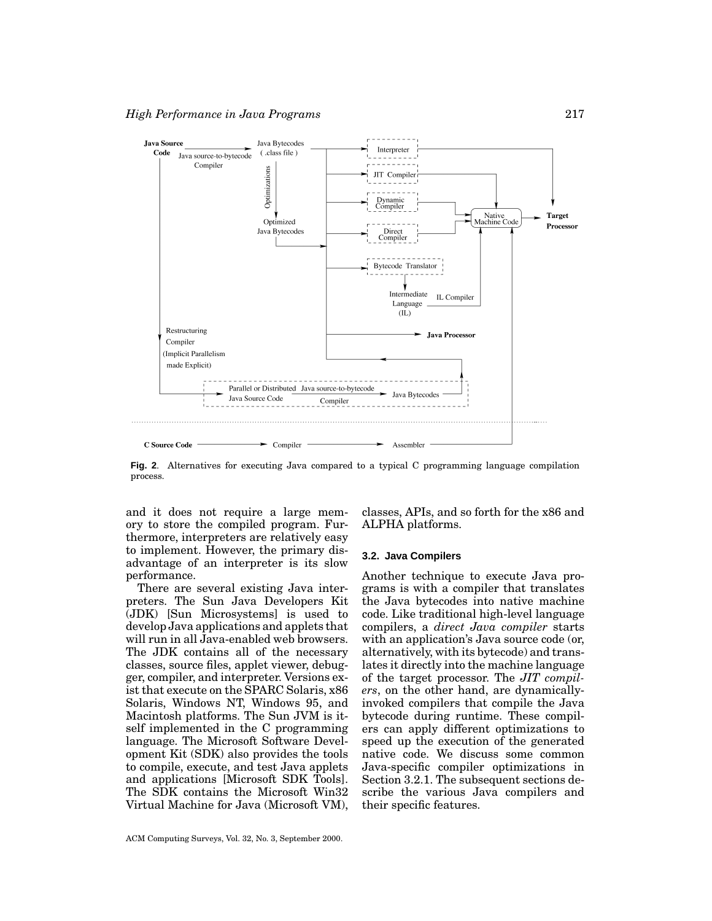

**Fig. 2**. Alternatives for executing Java compared to a typical C programming language compilation process.

and it does not require a large memory to store the compiled program. Furthermore, interpreters are relatively easy to implement. However, the primary disadvantage of an interpreter is its slow performance.

There are several existing Java interpreters. The Sun Java Developers Kit (JDK) [Sun Microsystems] is used to develop Java applications and applets that will run in all Java-enabled web browsers. The JDK contains all of the necessary classes, source files, applet viewer, debugger, compiler, and interpreter. Versions exist that execute on the SPARC Solaris, x86 Solaris, Windows NT, Windows 95, and Macintosh platforms. The Sun JVM is itself implemented in the C programming language. The Microsoft Software Development Kit (SDK) also provides the tools to compile, execute, and test Java applets and applications [Microsoft SDK Tools]. The SDK contains the Microsoft Win32 Virtual Machine for Java (Microsoft VM),

ACM Computing Surveys, Vol. 32, No. 3, September 2000.

classes, APIs, and so forth for the x86 and ALPHA platforms.

## **3.2. Java Compilers**

Another technique to execute Java programs is with a compiler that translates the Java bytecodes into native machine code. Like traditional high-level language compilers, a *direct Java compiler* starts with an application's Java source code (or, alternatively, with its bytecode) and translates it directly into the machine language of the target processor. The *JIT compilers*, on the other hand, are dynamicallyinvoked compilers that compile the Java bytecode during runtime. These compilers can apply different optimizations to speed up the execution of the generated native code. We discuss some common Java-specific compiler optimizations in Section 3.2.1. The subsequent sections describe the various Java compilers and their specific features.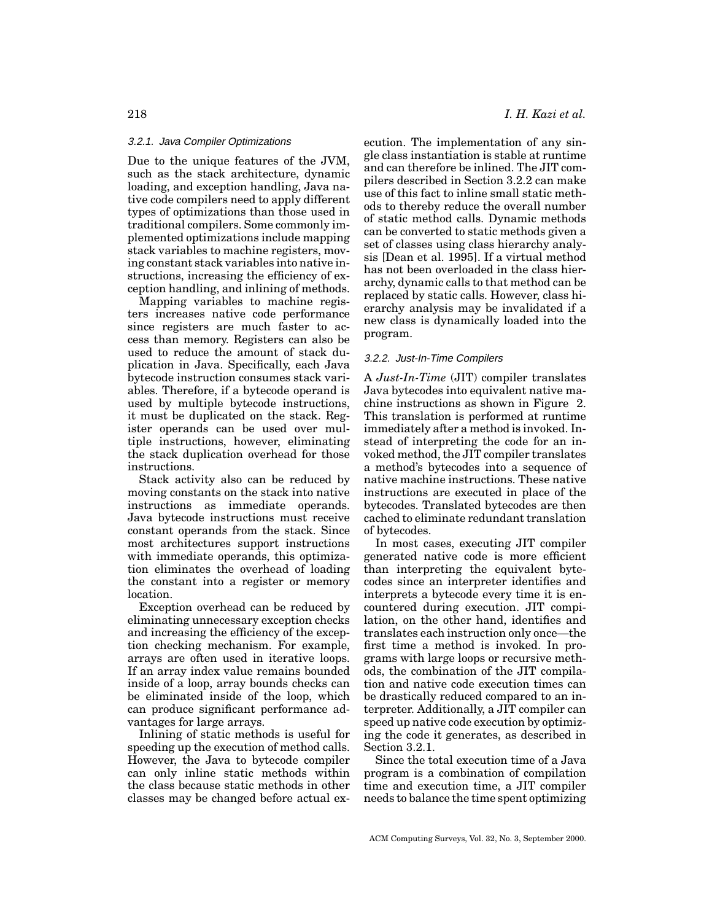## 3.2.1. Java Compiler Optimizations

Due to the unique features of the JVM, such as the stack architecture, dynamic loading, and exception handling, Java native code compilers need to apply different types of optimizations than those used in traditional compilers. Some commonly implemented optimizations include mapping stack variables to machine registers, moving constant stack variables into native instructions, increasing the efficiency of exception handling, and inlining of methods.

Mapping variables to machine registers increases native code performance since registers are much faster to access than memory. Registers can also be used to reduce the amount of stack duplication in Java. Specifically, each Java bytecode instruction consumes stack variables. Therefore, if a bytecode operand is used by multiple bytecode instructions, it must be duplicated on the stack. Register operands can be used over multiple instructions, however, eliminating the stack duplication overhead for those instructions.

Stack activity also can be reduced by moving constants on the stack into native instructions as immediate operands. Java bytecode instructions must receive constant operands from the stack. Since most architectures support instructions with immediate operands, this optimization eliminates the overhead of loading the constant into a register or memory location.

Exception overhead can be reduced by eliminating unnecessary exception checks and increasing the efficiency of the exception checking mechanism. For example, arrays are often used in iterative loops. If an array index value remains bounded inside of a loop, array bounds checks can be eliminated inside of the loop, which can produce significant performance advantages for large arrays.

Inlining of static methods is useful for speeding up the execution of method calls. However, the Java to bytecode compiler can only inline static methods within the class because static methods in other classes may be changed before actual execution. The implementation of any single class instantiation is stable at runtime and can therefore be inlined. The JIT compilers described in Section 3.2.2 can make use of this fact to inline small static methods to thereby reduce the overall number of static method calls. Dynamic methods can be converted to static methods given a set of classes using class hierarchy analysis [Dean et al. 1995]. If a virtual method has not been overloaded in the class hierarchy, dynamic calls to that method can be replaced by static calls. However, class hierarchy analysis may be invalidated if a new class is dynamically loaded into the program.

#### 3.2.2. Just-In-Time Compilers

A *Just-In-Time* (JIT) compiler translates Java bytecodes into equivalent native machine instructions as shown in Figure 2. This translation is performed at runtime immediately after a method is invoked. Instead of interpreting the code for an invoked method, the JIT compiler translates a method's bytecodes into a sequence of native machine instructions. These native instructions are executed in place of the bytecodes. Translated bytecodes are then cached to eliminate redundant translation of bytecodes.

In most cases, executing JIT compiler generated native code is more efficient than interpreting the equivalent bytecodes since an interpreter identifies and interprets a bytecode every time it is encountered during execution. JIT compilation, on the other hand, identifies and translates each instruction only once—the first time a method is invoked. In programs with large loops or recursive methods, the combination of the JIT compilation and native code execution times can be drastically reduced compared to an interpreter. Additionally, a JIT compiler can speed up native code execution by optimizing the code it generates, as described in Section 3.2.1.

Since the total execution time of a Java program is a combination of compilation time and execution time, a JIT compiler needs to balance the time spent optimizing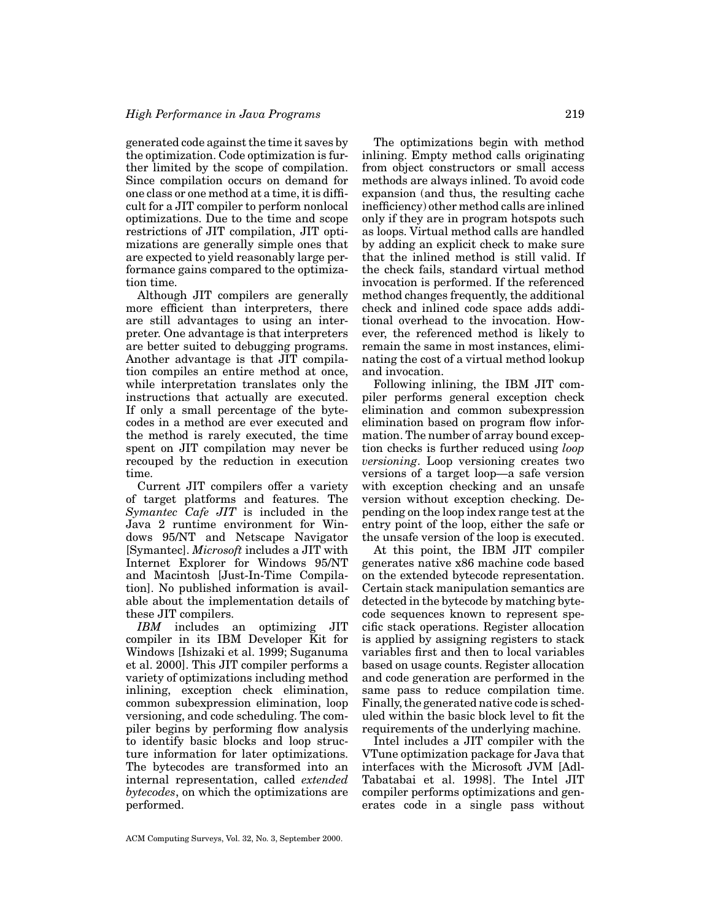generated code against the time it saves by the optimization. Code optimization is further limited by the scope of compilation. Since compilation occurs on demand for one class or one method at a time, it is difficult for a JIT compiler to perform nonlocal optimizations. Due to the time and scope restrictions of JIT compilation, JIT optimizations are generally simple ones that are expected to yield reasonably large performance gains compared to the optimization time.

Although JIT compilers are generally more efficient than interpreters, there are still advantages to using an interpreter. One advantage is that interpreters are better suited to debugging programs. Another advantage is that JIT compilation compiles an entire method at once, while interpretation translates only the instructions that actually are executed. If only a small percentage of the bytecodes in a method are ever executed and the method is rarely executed, the time spent on JIT compilation may never be recouped by the reduction in execution time.

Current JIT compilers offer a variety of target platforms and features. The *Symantec Cafe JIT* is included in the Java 2 runtime environment for Windows 95/NT and Netscape Navigator [Symantec]. *Microsoft* includes a JIT with Internet Explorer for Windows 95/NT and Macintosh [Just-In-Time Compilation]. No published information is available about the implementation details of these JIT compilers.

*IBM* includes an optimizing JIT compiler in its IBM Developer Kit for Windows [Ishizaki et al. 1999; Suganuma et al. 2000]. This JIT compiler performs a variety of optimizations including method inlining, exception check elimination, common subexpression elimination, loop versioning, and code scheduling. The compiler begins by performing flow analysis to identify basic blocks and loop structure information for later optimizations. The bytecodes are transformed into an internal representation, called *extended bytecodes*, on which the optimizations are performed.

The optimizations begin with method inlining. Empty method calls originating from object constructors or small access methods are always inlined. To avoid code expansion (and thus, the resulting cache inefficiency) other method calls are inlined only if they are in program hotspots such as loops. Virtual method calls are handled by adding an explicit check to make sure that the inlined method is still valid. If the check fails, standard virtual method invocation is performed. If the referenced method changes frequently, the additional check and inlined code space adds additional overhead to the invocation. However, the referenced method is likely to remain the same in most instances, eliminating the cost of a virtual method lookup and invocation.

Following inlining, the IBM JIT compiler performs general exception check elimination and common subexpression elimination based on program flow information. The number of array bound exception checks is further reduced using *loop versioning*. Loop versioning creates two versions of a target loop—a safe version with exception checking and an unsafe version without exception checking. Depending on the loop index range test at the entry point of the loop, either the safe or the unsafe version of the loop is executed.

At this point, the IBM JIT compiler generates native x86 machine code based on the extended bytecode representation. Certain stack manipulation semantics are detected in the bytecode by matching bytecode sequences known to represent specific stack operations. Register allocation is applied by assigning registers to stack variables first and then to local variables based on usage counts. Register allocation and code generation are performed in the same pass to reduce compilation time. Finally, the generated native code is scheduled within the basic block level to fit the requirements of the underlying machine.

Intel includes a JIT compiler with the VTune optimization package for Java that interfaces with the Microsoft JVM [Adl-Tabatabai et al. 1998]. The Intel JIT compiler performs optimizations and generates code in a single pass without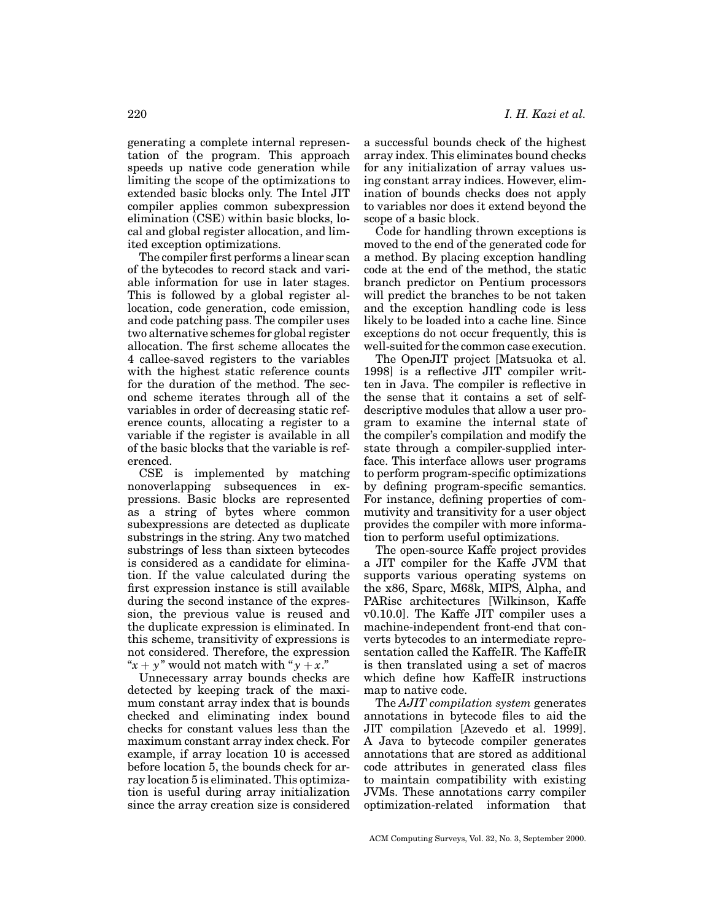generating a complete internal representation of the program. This approach speeds up native code generation while limiting the scope of the optimizations to extended basic blocks only. The Intel JIT compiler applies common subexpression elimination (CSE) within basic blocks, local and global register allocation, and limited exception optimizations.

The compiler first performs a linear scan of the bytecodes to record stack and variable information for use in later stages. This is followed by a global register allocation, code generation, code emission, and code patching pass. The compiler uses two alternative schemes for global register allocation. The first scheme allocates the 4 callee-saved registers to the variables with the highest static reference counts for the duration of the method. The second scheme iterates through all of the variables in order of decreasing static reference counts, allocating a register to a variable if the register is available in all of the basic blocks that the variable is referenced.

CSE is implemented by matching nonoverlapping subsequences in expressions. Basic blocks are represented as a string of bytes where common subexpressions are detected as duplicate substrings in the string. Any two matched substrings of less than sixteen bytecodes is considered as a candidate for elimination. If the value calculated during the first expression instance is still available during the second instance of the expression, the previous value is reused and the duplicate expression is eliminated. In this scheme, transitivity of expressions is not considered. Therefore, the expression " $x + y$ " would not match with " $y + x$ ."

Unnecessary array bounds checks are detected by keeping track of the maximum constant array index that is bounds checked and eliminating index bound checks for constant values less than the maximum constant array index check. For example, if array location 10 is accessed before location 5, the bounds check for array location 5 is eliminated. This optimization is useful during array initialization since the array creation size is considered

a successful bounds check of the highest array index. This eliminates bound checks for any initialization of array values using constant array indices. However, elimination of bounds checks does not apply to variables nor does it extend beyond the scope of a basic block.

Code for handling thrown exceptions is moved to the end of the generated code for a method. By placing exception handling code at the end of the method, the static branch predictor on Pentium processors will predict the branches to be not taken and the exception handling code is less likely to be loaded into a cache line. Since exceptions do not occur frequently, this is well-suited for the common case execution.

The OpenJIT project [Matsuoka et al. 1998] is a reflective JIT compiler written in Java. The compiler is reflective in the sense that it contains a set of selfdescriptive modules that allow a user program to examine the internal state of the compiler's compilation and modify the state through a compiler-supplied interface. This interface allows user programs to perform program-specific optimizations by defining program-specific semantics. For instance, defining properties of commutivity and transitivity for a user object provides the compiler with more information to perform useful optimizations.

The open-source Kaffe project provides a JIT compiler for the Kaffe JVM that supports various operating systems on the x86, Sparc, M68k, MIPS, Alpha, and PARisc architectures [Wilkinson, Kaffe v0.10.0]. The Kaffe JIT compiler uses a machine-independent front-end that converts bytecodes to an intermediate representation called the KaffeIR. The KaffeIR is then translated using a set of macros which define how KaffeIR instructions map to native code.

The *AJIT compilation system* generates annotations in bytecode files to aid the JIT compilation [Azevedo et al. 1999]. A Java to bytecode compiler generates annotations that are stored as additional code attributes in generated class files to maintain compatibility with existing JVMs. These annotations carry compiler optimization-related information that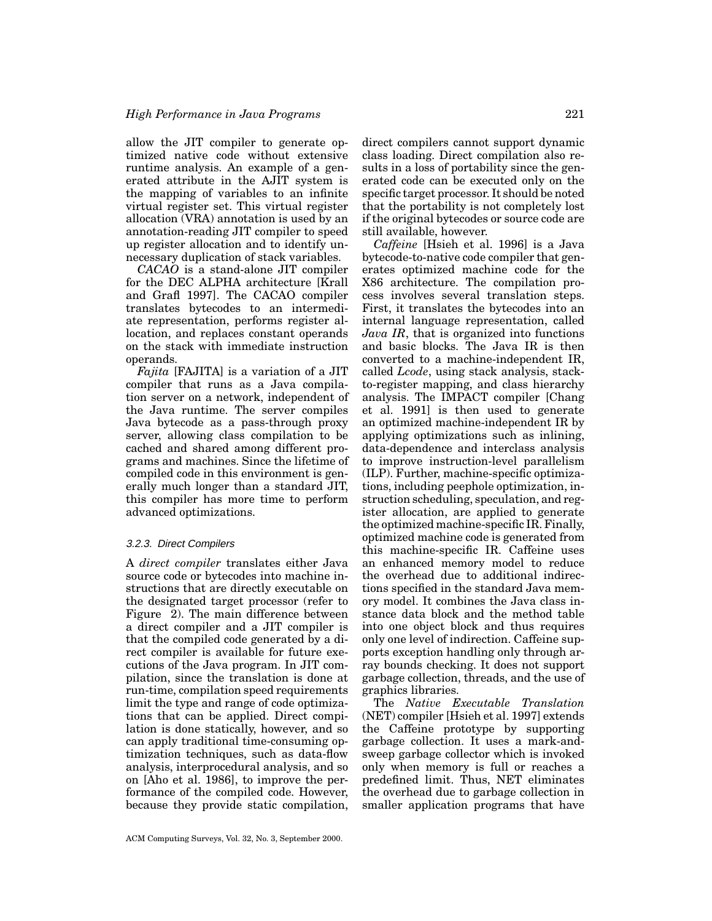allow the JIT compiler to generate optimized native code without extensive runtime analysis. An example of a generated attribute in the AJIT system is the mapping of variables to an infinite virtual register set. This virtual register allocation (VRA) annotation is used by an annotation-reading JIT compiler to speed up register allocation and to identify unnecessary duplication of stack variables.

*CACAO* is a stand-alone JIT compiler for the DEC ALPHA architecture [Krall and Grafl 1997]. The CACAO compiler translates bytecodes to an intermediate representation, performs register allocation, and replaces constant operands on the stack with immediate instruction operands.

*Fajita* [FAJITA] is a variation of a JIT compiler that runs as a Java compilation server on a network, independent of the Java runtime. The server compiles Java bytecode as a pass-through proxy server, allowing class compilation to be cached and shared among different programs and machines. Since the lifetime of compiled code in this environment is generally much longer than a standard JIT, this compiler has more time to perform advanced optimizations.

## 3.2.3. Direct Compilers

A *direct compiler* translates either Java source code or bytecodes into machine instructions that are directly executable on the designated target processor (refer to Figure 2). The main difference between a direct compiler and a JIT compiler is that the compiled code generated by a direct compiler is available for future executions of the Java program. In JIT compilation, since the translation is done at run-time, compilation speed requirements limit the type and range of code optimizations that can be applied. Direct compilation is done statically, however, and so can apply traditional time-consuming optimization techniques, such as data-flow analysis, interprocedural analysis, and so on [Aho et al. 1986], to improve the performance of the compiled code. However, because they provide static compilation,

direct compilers cannot support dynamic class loading. Direct compilation also results in a loss of portability since the generated code can be executed only on the specific target processor. It should be noted that the portability is not completely lost if the original bytecodes or source code are still available, however.

*Caffeine* [Hsieh et al. 1996] is a Java bytecode-to-native code compiler that generates optimized machine code for the X86 architecture. The compilation process involves several translation steps. First, it translates the bytecodes into an internal language representation, called *Java IR*, that is organized into functions and basic blocks. The Java IR is then converted to a machine-independent IR, called *Lcode*, using stack analysis, stackto-register mapping, and class hierarchy analysis. The IMPACT compiler [Chang et al. 1991] is then used to generate an optimized machine-independent IR by applying optimizations such as inlining, data-dependence and interclass analysis to improve instruction-level parallelism (ILP). Further, machine-specific optimizations, including peephole optimization, instruction scheduling, speculation, and register allocation, are applied to generate the optimized machine-specific IR. Finally, optimized machine code is generated from this machine-specific IR. Caffeine uses an enhanced memory model to reduce the overhead due to additional indirections specified in the standard Java memory model. It combines the Java class instance data block and the method table into one object block and thus requires only one level of indirection. Caffeine supports exception handling only through array bounds checking. It does not support garbage collection, threads, and the use of graphics libraries.

The *Native Executable Translation* (NET) compiler [Hsieh et al. 1997] extends the Caffeine prototype by supporting garbage collection. It uses a mark-andsweep garbage collector which is invoked only when memory is full or reaches a predefined limit. Thus, NET eliminates the overhead due to garbage collection in smaller application programs that have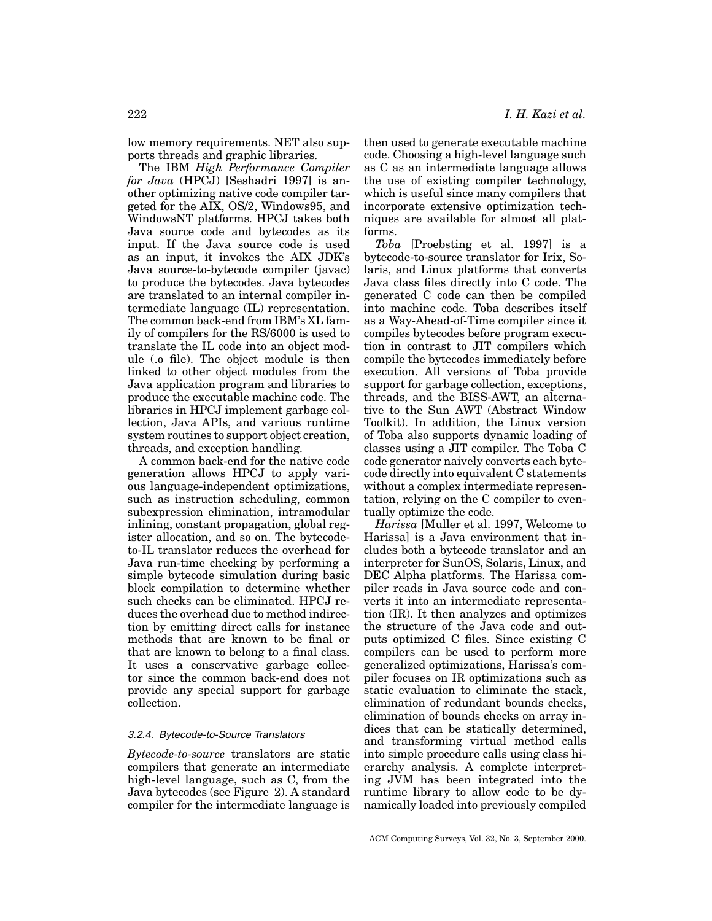low memory requirements. NET also supports threads and graphic libraries.

The IBM *High Performance Compiler for Java* (HPCJ) [Seshadri 1997] is another optimizing native code compiler targeted for the AIX, OS/2, Windows95, and WindowsNT platforms. HPCJ takes both Java source code and bytecodes as its input. If the Java source code is used as an input, it invokes the AIX JDK's Java source-to-bytecode compiler (javac) to produce the bytecodes. Java bytecodes are translated to an internal compiler intermediate language (IL) representation. The common back-end from IBM's XL family of compilers for the RS/6000 is used to translate the IL code into an object module (.o file). The object module is then linked to other object modules from the Java application program and libraries to produce the executable machine code. The libraries in HPCJ implement garbage collection, Java APIs, and various runtime system routines to support object creation, threads, and exception handling.

A common back-end for the native code generation allows HPCJ to apply various language-independent optimizations, such as instruction scheduling, common subexpression elimination, intramodular inlining, constant propagation, global register allocation, and so on. The bytecodeto-IL translator reduces the overhead for Java run-time checking by performing a simple bytecode simulation during basic block compilation to determine whether such checks can be eliminated. HPCJ reduces the overhead due to method indirection by emitting direct calls for instance methods that are known to be final or that are known to belong to a final class. It uses a conservative garbage collector since the common back-end does not provide any special support for garbage collection.

## 3.2.4. Bytecode-to-Source Translators

*Bytecode-to-source* translators are static compilers that generate an intermediate high-level language, such as C, from the Java bytecodes (see Figure 2). A standard compiler for the intermediate language is then used to generate executable machine code. Choosing a high-level language such as C as an intermediate language allows the use of existing compiler technology, which is useful since many compilers that incorporate extensive optimization techniques are available for almost all platforms.

*Toba* [Proebsting et al. 1997] is a bytecode-to-source translator for Irix, Solaris, and Linux platforms that converts Java class files directly into C code. The generated C code can then be compiled into machine code. Toba describes itself as a Way-Ahead-of-Time compiler since it compiles bytecodes before program execution in contrast to JIT compilers which compile the bytecodes immediately before execution. All versions of Toba provide support for garbage collection, exceptions, threads, and the BISS-AWT, an alternative to the Sun AWT (Abstract Window Toolkit). In addition, the Linux version of Toba also supports dynamic loading of classes using a JIT compiler. The Toba C code generator naively converts each bytecode directly into equivalent C statements without a complex intermediate representation, relying on the C compiler to eventually optimize the code.

*Harissa* [Muller et al. 1997, Welcome to Harissa] is a Java environment that includes both a bytecode translator and an interpreter for SunOS, Solaris, Linux, and DEC Alpha platforms. The Harissa compiler reads in Java source code and converts it into an intermediate representation (IR). It then analyzes and optimizes the structure of the Java code and outputs optimized C files. Since existing C compilers can be used to perform more generalized optimizations, Harissa's compiler focuses on IR optimizations such as static evaluation to eliminate the stack, elimination of redundant bounds checks, elimination of bounds checks on array indices that can be statically determined, and transforming virtual method calls into simple procedure calls using class hierarchy analysis. A complete interpreting JVM has been integrated into the runtime library to allow code to be dynamically loaded into previously compiled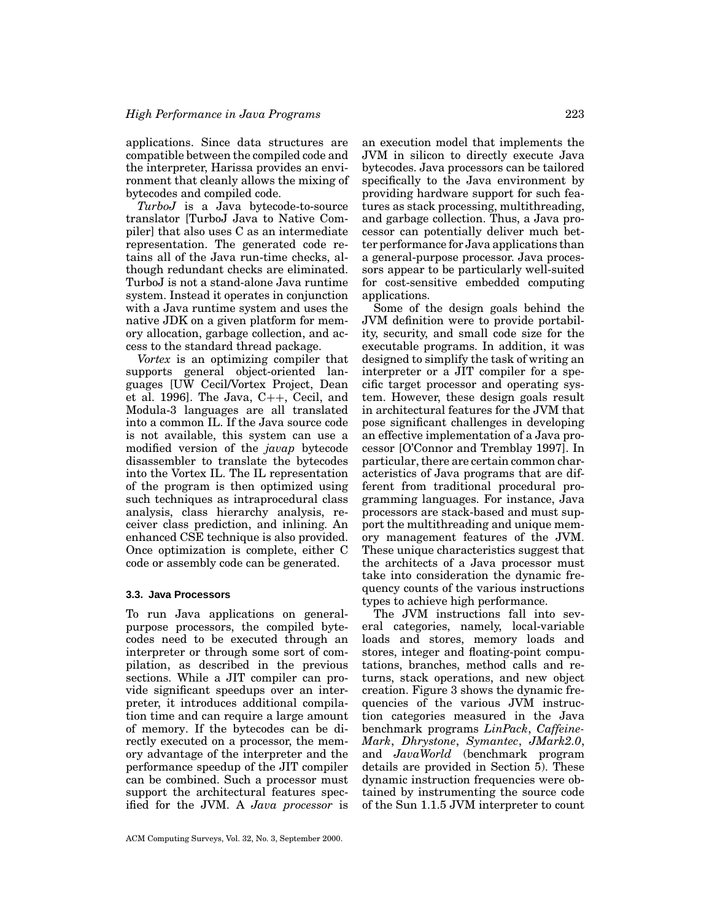applications. Since data structures are compatible between the compiled code and the interpreter, Harissa provides an environment that cleanly allows the mixing of bytecodes and compiled code.

*TurboJ* is a Java bytecode-to-source translator [TurboJ Java to Native Compiler] that also uses C as an intermediate representation. The generated code retains all of the Java run-time checks, although redundant checks are eliminated. TurboJ is not a stand-alone Java runtime system. Instead it operates in conjunction with a Java runtime system and uses the native JDK on a given platform for memory allocation, garbage collection, and access to the standard thread package.

*Vortex* is an optimizing compiler that supports general object-oriented languages [UW Cecil/Vortex Project, Dean et al. 1996]. The Java, C++, Cecil, and Modula-3 languages are all translated into a common IL. If the Java source code is not available, this system can use a modified version of the *javap* bytecode disassembler to translate the bytecodes into the Vortex IL. The IL representation of the program is then optimized using such techniques as intraprocedural class analysis, class hierarchy analysis, receiver class prediction, and inlining. An enhanced CSE technique is also provided. Once optimization is complete, either C code or assembly code can be generated.

### **3.3. Java Processors**

To run Java applications on generalpurpose processors, the compiled bytecodes need to be executed through an interpreter or through some sort of compilation, as described in the previous sections. While a JIT compiler can provide significant speedups over an interpreter, it introduces additional compilation time and can require a large amount of memory. If the bytecodes can be directly executed on a processor, the memory advantage of the interpreter and the performance speedup of the JIT compiler can be combined. Such a processor must support the architectural features specified for the JVM. A *Java processor* is

an execution model that implements the JVM in silicon to directly execute Java bytecodes. Java processors can be tailored specifically to the Java environment by providing hardware support for such features as stack processing, multithreading, and garbage collection. Thus, a Java processor can potentially deliver much better performance for Java applications than a general-purpose processor. Java processors appear to be particularly well-suited for cost-sensitive embedded computing applications.

Some of the design goals behind the JVM definition were to provide portability, security, and small code size for the executable programs. In addition, it was designed to simplify the task of writing an interpreter or a JIT compiler for a specific target processor and operating system. However, these design goals result in architectural features for the JVM that pose significant challenges in developing an effective implementation of a Java processor [O'Connor and Tremblay 1997]. In particular, there are certain common characteristics of Java programs that are different from traditional procedural programming languages. For instance, Java processors are stack-based and must support the multithreading and unique memory management features of the JVM. These unique characteristics suggest that the architects of a Java processor must take into consideration the dynamic frequency counts of the various instructions types to achieve high performance.

The JVM instructions fall into several categories, namely, local-variable loads and stores, memory loads and stores, integer and floating-point computations, branches, method calls and returns, stack operations, and new object creation. Figure 3 shows the dynamic frequencies of the various JVM instruction categories measured in the Java benchmark programs *LinPack*, *Caffeine-Mark*, *Dhrystone*, *Symantec*, *JMark2.0*, and *JavaWorld* (benchmark program details are provided in Section 5). These dynamic instruction frequencies were obtained by instrumenting the source code of the Sun 1.1.5 JVM interpreter to count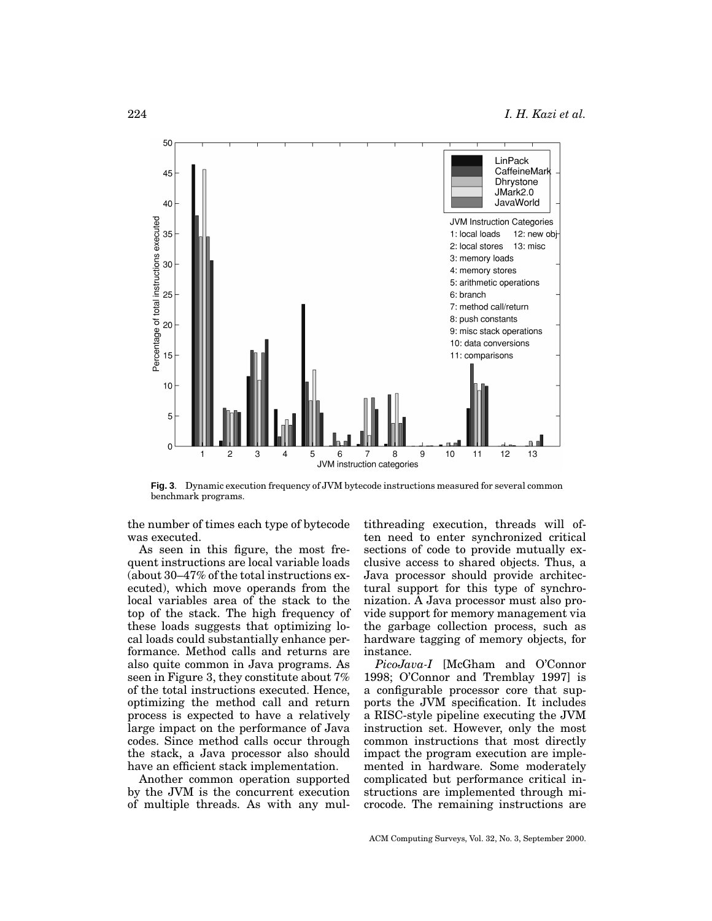

**Fig. 3**. Dynamic execution frequency of JVM bytecode instructions measured for several common benchmark programs.

the number of times each type of bytecode was executed.

As seen in this figure, the most frequent instructions are local variable loads (about 30–47% of the total instructions executed), which move operands from the local variables area of the stack to the top of the stack. The high frequency of these loads suggests that optimizing local loads could substantially enhance performance. Method calls and returns are also quite common in Java programs. As seen in Figure 3, they constitute about 7% of the total instructions executed. Hence, optimizing the method call and return process is expected to have a relatively large impact on the performance of Java codes. Since method calls occur through the stack, a Java processor also should have an efficient stack implementation.

Another common operation supported by the JVM is the concurrent execution of multiple threads. As with any multithreading execution, threads will often need to enter synchronized critical sections of code to provide mutually exclusive access to shared objects. Thus, a Java processor should provide architectural support for this type of synchronization. A Java processor must also provide support for memory management via the garbage collection process, such as hardware tagging of memory objects, for instance.

*PicoJava-I* [McGham and O'Connor 1998; O'Connor and Tremblay 1997] is a configurable processor core that supports the JVM specification. It includes a RISC-style pipeline executing the JVM instruction set. However, only the most common instructions that most directly impact the program execution are implemented in hardware. Some moderately complicated but performance critical instructions are implemented through microcode. The remaining instructions are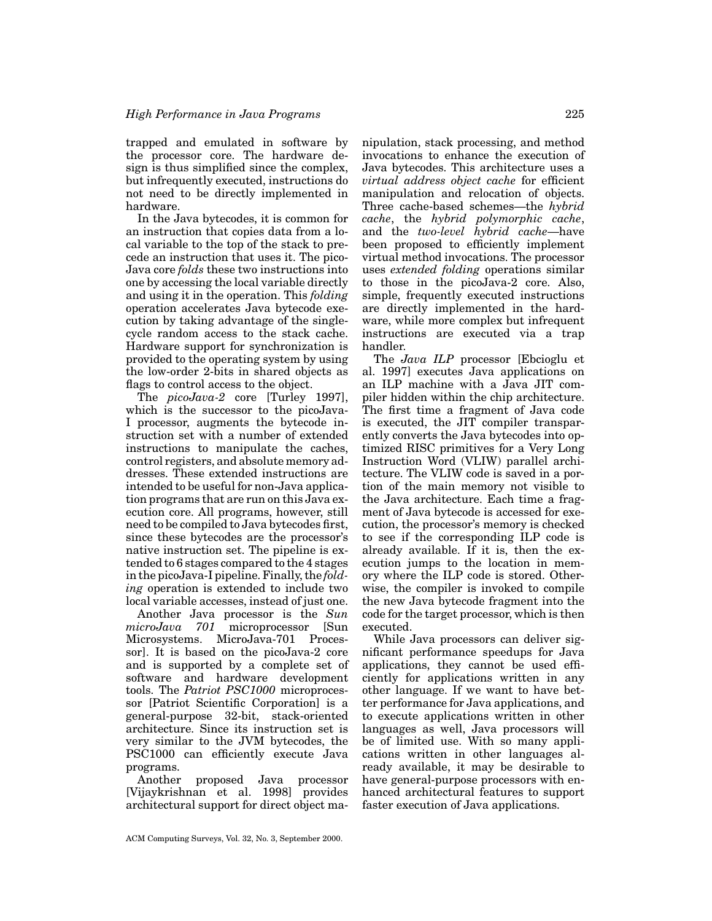trapped and emulated in software by the processor core. The hardware design is thus simplified since the complex, but infrequently executed, instructions do not need to be directly implemented in hardware.

In the Java bytecodes, it is common for an instruction that copies data from a local variable to the top of the stack to precede an instruction that uses it. The pico-Java core *folds* these two instructions into one by accessing the local variable directly and using it in the operation. This *folding* operation accelerates Java bytecode execution by taking advantage of the singlecycle random access to the stack cache. Hardware support for synchronization is provided to the operating system by using the low-order 2-bits in shared objects as flags to control access to the object.

The *picoJava-2* core [Turley 1997], which is the successor to the picoJava-I processor, augments the bytecode instruction set with a number of extended instructions to manipulate the caches, control registers, and absolute memory addresses. These extended instructions are intended to be useful for non-Java application programs that are run on this Java execution core. All programs, however, still need to be compiled to Java bytecodes first, since these bytecodes are the processor's native instruction set. The pipeline is extended to 6 stages compared to the 4 stages in the picoJava-I pipeline. Finally, the *folding* operation is extended to include two local variable accesses, instead of just one.

Another Java processor is the *Sun microJava 701* microprocessor [Sun Microsystems. MicroJava-701 Processor]. It is based on the picoJava-2 core and is supported by a complete set of software and hardware development tools. The *Patriot PSC1000* microprocessor [Patriot Scientific Corporation] is a general-purpose 32-bit, stack-oriented architecture. Since its instruction set is very similar to the JVM bytecodes, the PSC1000 can efficiently execute Java programs.

Another proposed Java processor [Vijaykrishnan et al. 1998] provides architectural support for direct object ma-

nipulation, stack processing, and method invocations to enhance the execution of Java bytecodes. This architecture uses a *virtual address object cache* for efficient manipulation and relocation of objects. Three cache-based schemes—the *hybrid cache*, the *hybrid polymorphic cache*, and the *two-level hybrid cache*—have been proposed to efficiently implement virtual method invocations. The processor uses *extended folding* operations similar to those in the picoJava-2 core. Also, simple, frequently executed instructions are directly implemented in the hardware, while more complex but infrequent instructions are executed via a trap handler.

The *Java ILP* processor [Ebcioglu et al. 1997] executes Java applications on an ILP machine with a Java JIT compiler hidden within the chip architecture. The first time a fragment of Java code is executed, the JIT compiler transparently converts the Java bytecodes into optimized RISC primitives for a Very Long Instruction Word (VLIW) parallel architecture. The VLIW code is saved in a portion of the main memory not visible to the Java architecture. Each time a fragment of Java bytecode is accessed for execution, the processor's memory is checked to see if the corresponding ILP code is already available. If it is, then the execution jumps to the location in memory where the ILP code is stored. Otherwise, the compiler is invoked to compile the new Java bytecode fragment into the code for the target processor, which is then executed.

While Java processors can deliver significant performance speedups for Java applications, they cannot be used efficiently for applications written in any other language. If we want to have better performance for Java applications, and to execute applications written in other languages as well, Java processors will be of limited use. With so many applications written in other languages already available, it may be desirable to have general-purpose processors with enhanced architectural features to support faster execution of Java applications.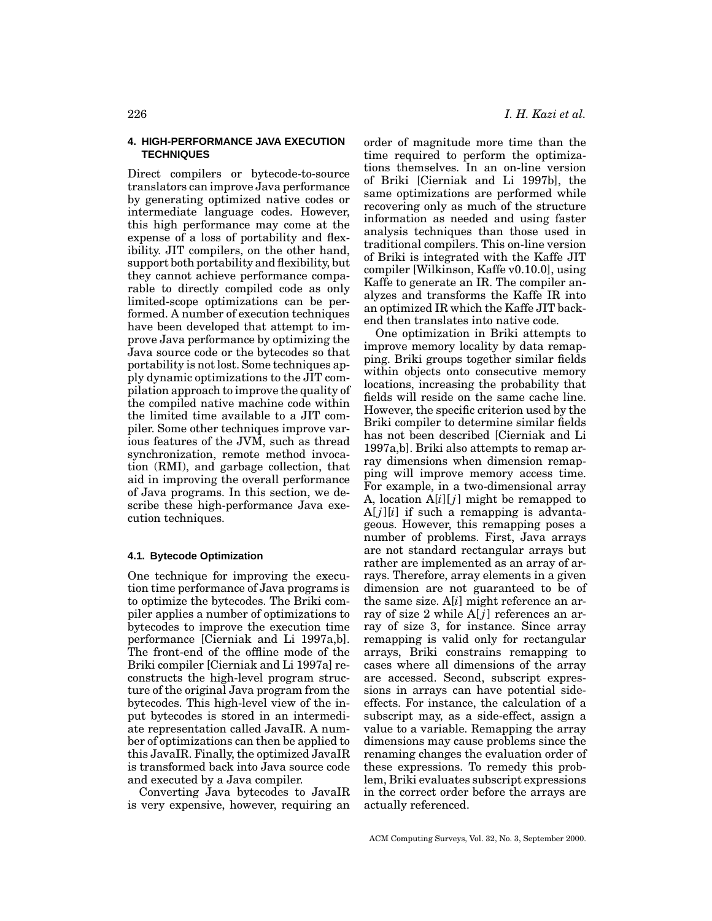### **4. HIGH-PERFORMANCE JAVA EXECUTION TECHNIQUES**

Direct compilers or bytecode-to-source translators can improve Java performance by generating optimized native codes or intermediate language codes. However, this high performance may come at the expense of a loss of portability and flexibility. JIT compilers, on the other hand, support both portability and flexibility, but they cannot achieve performance comparable to directly compiled code as only limited-scope optimizations can be performed. A number of execution techniques have been developed that attempt to improve Java performance by optimizing the Java source code or the bytecodes so that portability is not lost. Some techniques apply dynamic optimizations to the JIT compilation approach to improve the quality of the compiled native machine code within the limited time available to a JIT compiler. Some other techniques improve various features of the JVM, such as thread synchronization, remote method invocation (RMI), and garbage collection, that aid in improving the overall performance of Java programs. In this section, we describe these high-performance Java execution techniques.

## **4.1. Bytecode Optimization**

One technique for improving the execution time performance of Java programs is to optimize the bytecodes. The Briki compiler applies a number of optimizations to bytecodes to improve the execution time performance [Cierniak and Li 1997a,b]. The front-end of the offline mode of the Briki compiler [Cierniak and Li 1997a] reconstructs the high-level program structure of the original Java program from the bytecodes. This high-level view of the input bytecodes is stored in an intermediate representation called JavaIR. A number of optimizations can then be applied to this JavaIR. Finally, the optimized JavaIR is transformed back into Java source code and executed by a Java compiler.

Converting Java bytecodes to JavaIR is very expensive, however, requiring an order of magnitude more time than the time required to perform the optimizations themselves. In an on-line version of Briki [Cierniak and Li 1997b], the same optimizations are performed while recovering only as much of the structure information as needed and using faster analysis techniques than those used in traditional compilers. This on-line version of Briki is integrated with the Kaffe JIT compiler [Wilkinson, Kaffe v0.10.0], using Kaffe to generate an IR. The compiler analyzes and transforms the Kaffe IR into an optimized IR which the Kaffe JIT backend then translates into native code.

One optimization in Briki attempts to improve memory locality by data remapping. Briki groups together similar fields within objects onto consecutive memory locations, increasing the probability that fields will reside on the same cache line. However, the specific criterion used by the Briki compiler to determine similar fields has not been described [Cierniak and Li 1997a,b]. Briki also attempts to remap array dimensions when dimension remapping will improve memory access time. For example, in a two-dimensional array A, location  $A[i][j]$  might be remapped to  $A[j][i]$  if such a remapping is advantageous. However, this remapping poses a number of problems. First, Java arrays are not standard rectangular arrays but rather are implemented as an array of arrays. Therefore, array elements in a given dimension are not guaranteed to be of the same size. A[*i*] might reference an array of size 2 while  $A[j]$  references an array of size 3, for instance. Since array remapping is valid only for rectangular arrays, Briki constrains remapping to cases where all dimensions of the array are accessed. Second, subscript expressions in arrays can have potential sideeffects. For instance, the calculation of a subscript may, as a side-effect, assign a value to a variable. Remapping the array dimensions may cause problems since the renaming changes the evaluation order of these expressions. To remedy this problem, Briki evaluates subscript expressions in the correct order before the arrays are actually referenced.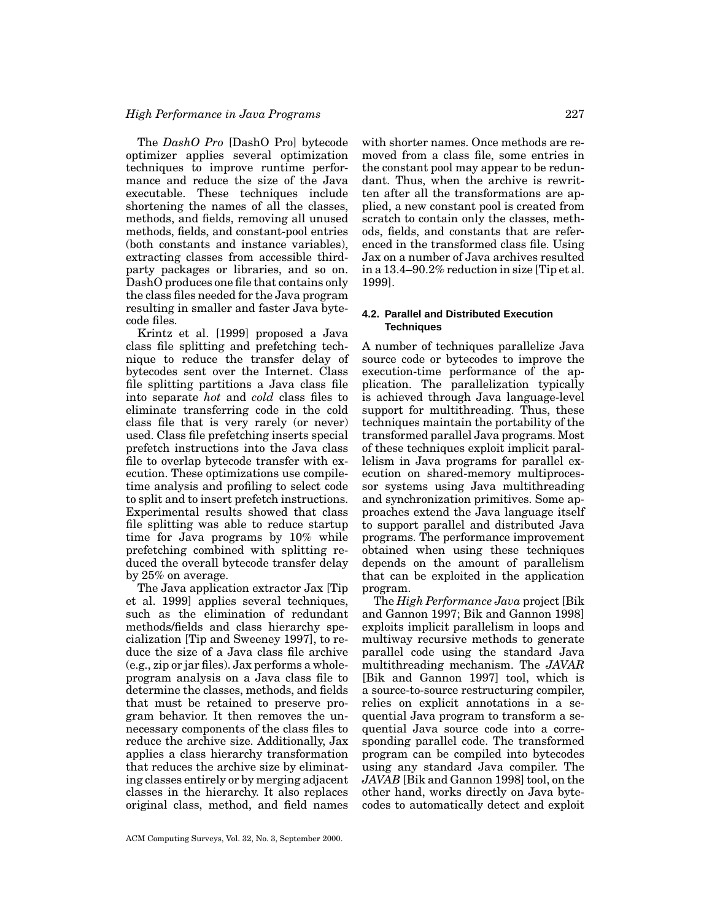The *DashO Pro* [DashO Pro] bytecode optimizer applies several optimization techniques to improve runtime performance and reduce the size of the Java executable. These techniques include shortening the names of all the classes, methods, and fields, removing all unused methods, fields, and constant-pool entries (both constants and instance variables), extracting classes from accessible thirdparty packages or libraries, and so on. DashO produces one file that contains only the class files needed for the Java program resulting in smaller and faster Java bytecode files.

Krintz et al. [1999] proposed a Java class file splitting and prefetching technique to reduce the transfer delay of bytecodes sent over the Internet. Class file splitting partitions a Java class file into separate *hot* and *cold* class files to eliminate transferring code in the cold class file that is very rarely (or never) used. Class file prefetching inserts special prefetch instructions into the Java class file to overlap bytecode transfer with execution. These optimizations use compiletime analysis and profiling to select code to split and to insert prefetch instructions. Experimental results showed that class file splitting was able to reduce startup time for Java programs by 10% while prefetching combined with splitting reduced the overall bytecode transfer delay by 25% on average.

The Java application extractor Jax [Tip et al. 1999] applies several techniques, such as the elimination of redundant methods/fields and class hierarchy specialization [Tip and Sweeney 1997], to reduce the size of a Java class file archive (e.g., zip or jar files). Jax performs a wholeprogram analysis on a Java class file to determine the classes, methods, and fields that must be retained to preserve program behavior. It then removes the unnecessary components of the class files to reduce the archive size. Additionally, Jax applies a class hierarchy transformation that reduces the archive size by eliminating classes entirely or by merging adjacent classes in the hierarchy. It also replaces original class, method, and field names

with shorter names. Once methods are removed from a class file, some entries in the constant pool may appear to be redundant. Thus, when the archive is rewritten after all the transformations are applied, a new constant pool is created from scratch to contain only the classes, methods, fields, and constants that are referenced in the transformed class file. Using Jax on a number of Java archives resulted in a 13.4–90.2% reduction in size [Tip et al. 1999].

## **4.2. Parallel and Distributed Execution Techniques**

A number of techniques parallelize Java source code or bytecodes to improve the execution-time performance of the application. The parallelization typically is achieved through Java language-level support for multithreading. Thus, these techniques maintain the portability of the transformed parallel Java programs. Most of these techniques exploit implicit parallelism in Java programs for parallel execution on shared-memory multiprocessor systems using Java multithreading and synchronization primitives. Some approaches extend the Java language itself to support parallel and distributed Java programs. The performance improvement obtained when using these techniques depends on the amount of parallelism that can be exploited in the application program.

The *High Performance Java* project [Bik and Gannon 1997; Bik and Gannon 1998] exploits implicit parallelism in loops and multiway recursive methods to generate parallel code using the standard Java multithreading mechanism. The *JAVAR* [Bik and Gannon 1997] tool, which is a source-to-source restructuring compiler, relies on explicit annotations in a sequential Java program to transform a sequential Java source code into a corresponding parallel code. The transformed program can be compiled into bytecodes using any standard Java compiler. The *JAVAB* [Bik and Gannon 1998] tool, on the other hand, works directly on Java bytecodes to automatically detect and exploit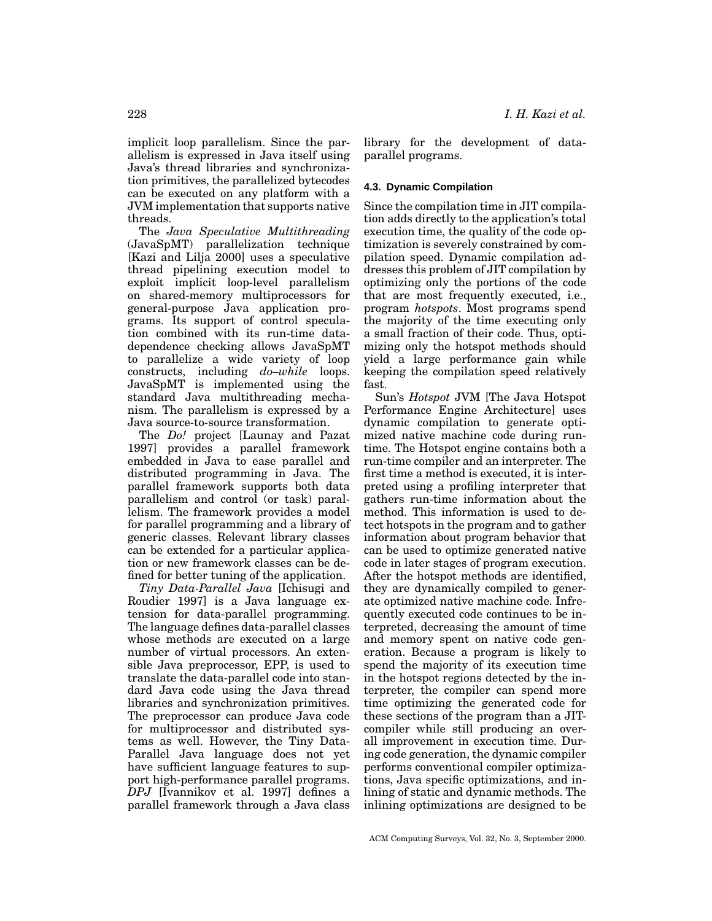implicit loop parallelism. Since the parallelism is expressed in Java itself using Java's thread libraries and synchronization primitives, the parallelized bytecodes can be executed on any platform with a JVM implementation that supports native threads.

The *Java Speculative Multithreading* (JavaSpMT) parallelization technique [Kazi and Lilja 2000] uses a speculative thread pipelining execution model to exploit implicit loop-level parallelism on shared-memory multiprocessors for general-purpose Java application programs. Its support of control speculation combined with its run-time datadependence checking allows JavaSpMT to parallelize a wide variety of loop constructs, including *do–while* loops. JavaSpMT is implemented using the standard Java multithreading mechanism. The parallelism is expressed by a Java source-to-source transformation.

The *Do!* project [Launay and Pazat 1997] provides a parallel framework embedded in Java to ease parallel and distributed programming in Java. The parallel framework supports both data parallelism and control (or task) parallelism. The framework provides a model for parallel programming and a library of generic classes. Relevant library classes can be extended for a particular application or new framework classes can be defined for better tuning of the application.

*Tiny Data-Parallel Java* [Ichisugi and Roudier 1997] is a Java language extension for data-parallel programming. The language defines data-parallel classes whose methods are executed on a large number of virtual processors. An extensible Java preprocessor, EPP, is used to translate the data-parallel code into standard Java code using the Java thread libraries and synchronization primitives. The preprocessor can produce Java code for multiprocessor and distributed systems as well. However, the Tiny Data-Parallel Java language does not yet have sufficient language features to support high-performance parallel programs. *DPJ* [Ivannikov et al. 1997] defines a parallel framework through a Java class

library for the development of dataparallel programs.

## **4.3. Dynamic Compilation**

Since the compilation time in JIT compilation adds directly to the application's total execution time, the quality of the code optimization is severely constrained by compilation speed. Dynamic compilation addresses this problem of JIT compilation by optimizing only the portions of the code that are most frequently executed, i.e., program *hotspots*. Most programs spend the majority of the time executing only a small fraction of their code. Thus, optimizing only the hotspot methods should yield a large performance gain while keeping the compilation speed relatively fast.

Sun's *Hotspot* JVM [The Java Hotspot Performance Engine Architecture] uses dynamic compilation to generate optimized native machine code during runtime. The Hotspot engine contains both a run-time compiler and an interpreter. The first time a method is executed, it is interpreted using a profiling interpreter that gathers run-time information about the method. This information is used to detect hotspots in the program and to gather information about program behavior that can be used to optimize generated native code in later stages of program execution. After the hotspot methods are identified, they are dynamically compiled to generate optimized native machine code. Infrequently executed code continues to be interpreted, decreasing the amount of time and memory spent on native code generation. Because a program is likely to spend the majority of its execution time in the hotspot regions detected by the interpreter, the compiler can spend more time optimizing the generated code for these sections of the program than a JITcompiler while still producing an overall improvement in execution time. During code generation, the dynamic compiler performs conventional compiler optimizations, Java specific optimizations, and inlining of static and dynamic methods. The inlining optimizations are designed to be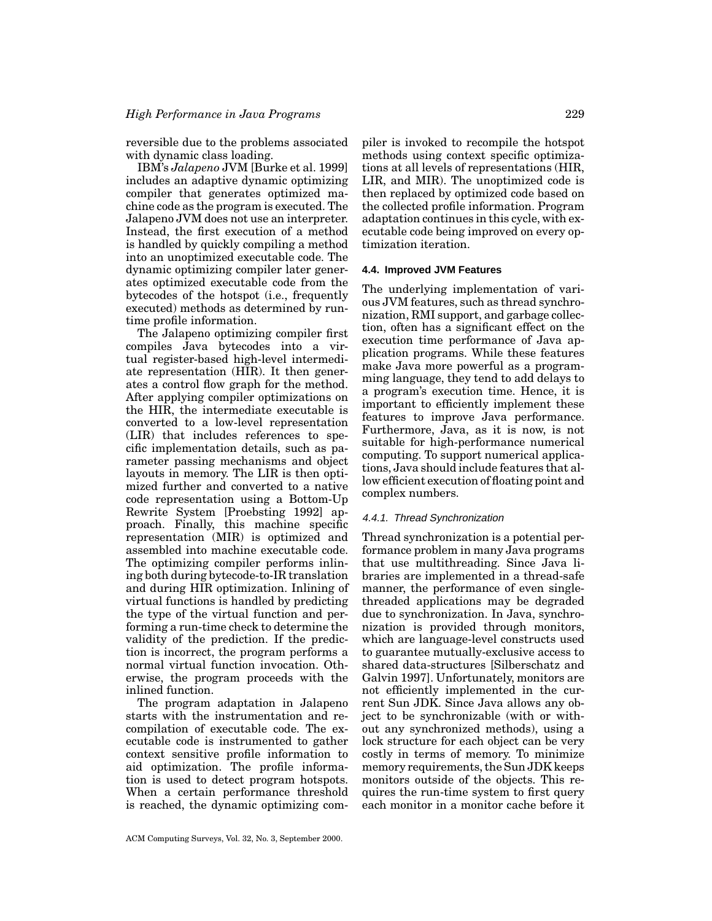reversible due to the problems associated with dynamic class loading.

IBM's *Jalapeno* JVM [Burke et al. 1999] includes an adaptive dynamic optimizing compiler that generates optimized machine code as the program is executed. The Jalapeno JVM does not use an interpreter. Instead, the first execution of a method is handled by quickly compiling a method into an unoptimized executable code. The dynamic optimizing compiler later generates optimized executable code from the bytecodes of the hotspot (i.e., frequently executed) methods as determined by runtime profile information.

The Jalapeno optimizing compiler first compiles Java bytecodes into a virtual register-based high-level intermediate representation (HIR). It then generates a control flow graph for the method. After applying compiler optimizations on the HIR, the intermediate executable is converted to a low-level representation (LIR) that includes references to specific implementation details, such as parameter passing mechanisms and object layouts in memory. The LIR is then optimized further and converted to a native code representation using a Bottom-Up Rewrite System [Proebsting 1992] approach. Finally, this machine specific representation (MIR) is optimized and assembled into machine executable code. The optimizing compiler performs inlining both during bytecode-to-IR translation and during HIR optimization. Inlining of virtual functions is handled by predicting the type of the virtual function and performing a run-time check to determine the validity of the prediction. If the prediction is incorrect, the program performs a normal virtual function invocation. Otherwise, the program proceeds with the inlined function.

The program adaptation in Jalapeno starts with the instrumentation and recompilation of executable code. The executable code is instrumented to gather context sensitive profile information to aid optimization. The profile information is used to detect program hotspots. When a certain performance threshold is reached, the dynamic optimizing com-

piler is invoked to recompile the hotspot methods using context specific optimizations at all levels of representations (HIR, LIR, and MIR). The unoptimized code is then replaced by optimized code based on the collected profile information. Program adaptation continues in this cycle, with executable code being improved on every optimization iteration.

### **4.4. Improved JVM Features**

The underlying implementation of various JVM features, such as thread synchronization, RMI support, and garbage collection, often has a significant effect on the execution time performance of Java application programs. While these features make Java more powerful as a programming language, they tend to add delays to a program's execution time. Hence, it is important to efficiently implement these features to improve Java performance. Furthermore, Java, as it is now, is not suitable for high-performance numerical computing. To support numerical applications, Java should include features that allow efficient execution of floating point and complex numbers.

#### 4.4.1. Thread Synchronization

Thread synchronization is a potential performance problem in many Java programs that use multithreading. Since Java libraries are implemented in a thread-safe manner, the performance of even singlethreaded applications may be degraded due to synchronization. In Java, synchronization is provided through monitors, which are language-level constructs used to guarantee mutually-exclusive access to shared data-structures [Silberschatz and Galvin 1997]. Unfortunately, monitors are not efficiently implemented in the current Sun JDK. Since Java allows any object to be synchronizable (with or without any synchronized methods), using a lock structure for each object can be very costly in terms of memory. To minimize memory requirements, the Sun JDK keeps monitors outside of the objects. This requires the run-time system to first query each monitor in a monitor cache before it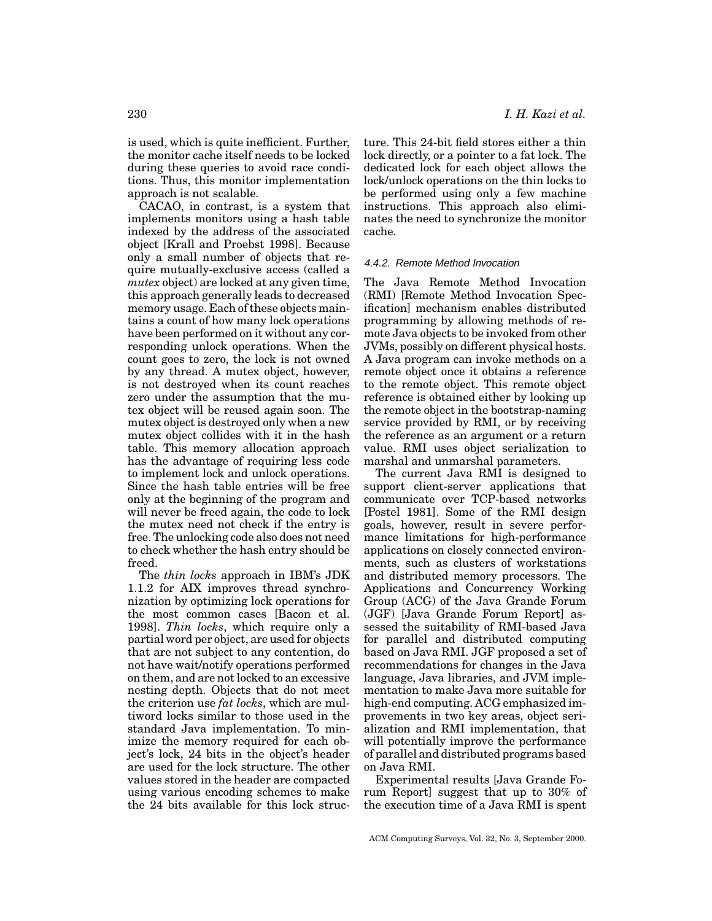is used, which is quite inefficient. Further, the monitor cache itself needs to be locked during these queries to avoid race conditions. Thus, this monitor implementation approach is not scalable.

CACAO, in contrast, is a system that implements monitors using a hash table indexed by the address of the associated object [Krall and Proebst 1998]. Because only a small number of objects that require mutually-exclusive access (called a *mutex* object) are locked at any given time, this approach generally leads to decreased memory usage. Each of these objects maintains a count of how many lock operations have been performed on it without any corresponding unlock operations. When the count goes to zero, the lock is not owned by any thread. A mutex object, however, is not destroyed when its count reaches zero under the assumption that the mutex object will be reused again soon. The mutex object is destroyed only when a new mutex object collides with it in the hash table. This memory allocation approach has the advantage of requiring less code to implement lock and unlock operations. Since the hash table entries will be free only at the beginning of the program and will never be freed again, the code to lock the mutex need not check if the entry is free. The unlocking code also does not need to check whether the hash entry should be freed.

The *thin locks* approach in IBM's JDK 1.1.2 for AIX improves thread synchronization by optimizing lock operations for the most common cases [Bacon et al. 1998]. *Thin locks*, which require only a partial word per object, are used for objects that are not subject to any contention, do not have wait/notify operations performed on them, and are not locked to an excessive nesting depth. Objects that do not meet the criterion use *fat locks*, which are multiword locks similar to those used in the standard Java implementation. To minimize the memory required for each object's lock, 24 bits in the object's header are used for the lock structure. The other values stored in the header are compacted using various encoding schemes to make the 24 bits available for this lock structure. This 24-bit field stores either a thin lock directly, or a pointer to a fat lock. The dedicated lock for each object allows the lock/unlock operations on the thin locks to be performed using only a few machine instructions. This approach also eliminates the need to synchronize the monitor cache.

#### 4.4.2. Remote Method Invocation

The Java Remote Method Invocation (RMI) [Remote Method Invocation Specification] mechanism enables distributed programming by allowing methods of remote Java objects to be invoked from other JVMs, possibly on different physical hosts. A Java program can invoke methods on a remote object once it obtains a reference to the remote object. This remote object reference is obtained either by looking up the remote object in the bootstrap-naming service provided by RMI, or by receiving the reference as an argument or a return value. RMI uses object serialization to marshal and unmarshal parameters.

The current Java RMI is designed to support client-server applications that communicate over TCP-based networks [Postel 1981]. Some of the RMI design goals, however, result in severe performance limitations for high-performance applications on closely connected environments, such as clusters of workstations and distributed memory processors. The Applications and Concurrency Working Group (ACG) of the Java Grande Forum (JGF) [Java Grande Forum Report] assessed the suitability of RMI-based Java for parallel and distributed computing based on Java RMI. JGF proposed a set of recommendations for changes in the Java language, Java libraries, and JVM implementation to make Java more suitable for high-end computing. ACG emphasized improvements in two key areas, object serialization and RMI implementation, that will potentially improve the performance of parallel and distributed programs based on Java RMI.

Experimental results [Java Grande Forum Report] suggest that up to 30% of the execution time of a Java RMI is spent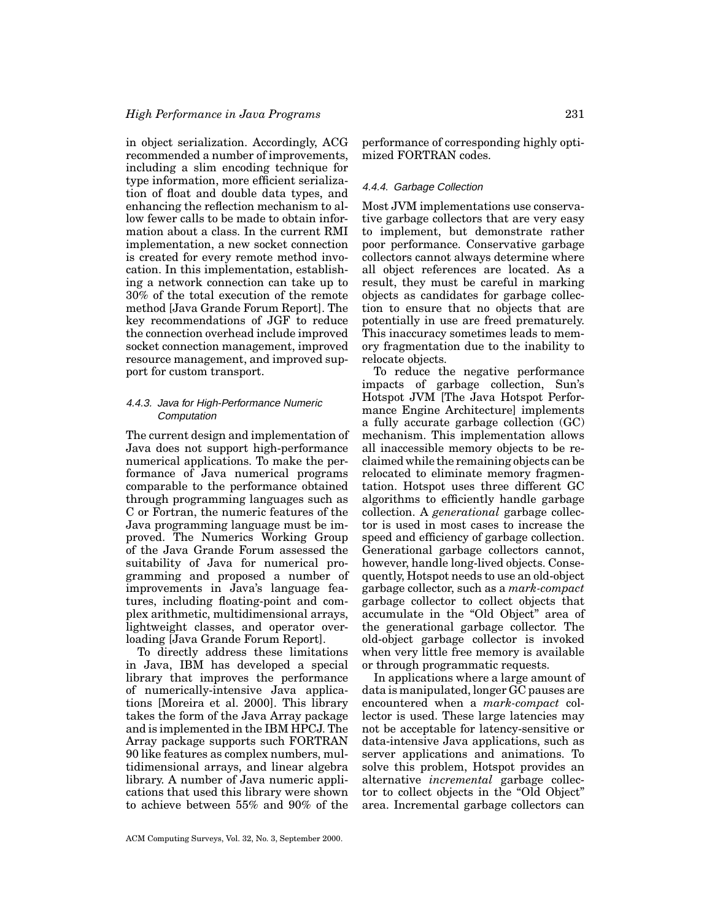in object serialization. Accordingly, ACG recommended a number of improvements, including a slim encoding technique for type information, more efficient serialization of float and double data types, and enhancing the reflection mechanism to allow fewer calls to be made to obtain information about a class. In the current RMI implementation, a new socket connection is created for every remote method invocation. In this implementation, establishing a network connection can take up to 30% of the total execution of the remote method [Java Grande Forum Report]. The key recommendations of JGF to reduce the connection overhead include improved socket connection management, improved resource management, and improved support for custom transport.

## 4.4.3. Java for High-Performance Numeric **Computation**

The current design and implementation of Java does not support high-performance numerical applications. To make the performance of Java numerical programs comparable to the performance obtained through programming languages such as C or Fortran, the numeric features of the Java programming language must be improved. The Numerics Working Group of the Java Grande Forum assessed the suitability of Java for numerical programming and proposed a number of improvements in Java's language features, including floating-point and complex arithmetic, multidimensional arrays, lightweight classes, and operator overloading [Java Grande Forum Report].

To directly address these limitations in Java, IBM has developed a special library that improves the performance of numerically-intensive Java applications [Moreira et al. 2000]. This library takes the form of the Java Array package and is implemented in the IBM HPCJ. The Array package supports such FORTRAN 90 like features as complex numbers, multidimensional arrays, and linear algebra library. A number of Java numeric applications that used this library were shown to achieve between 55% and 90% of the

performance of corresponding highly optimized FORTRAN codes.

### 4.4.4. Garbage Collection

Most JVM implementations use conservative garbage collectors that are very easy to implement, but demonstrate rather poor performance. Conservative garbage collectors cannot always determine where all object references are located. As a result, they must be careful in marking objects as candidates for garbage collection to ensure that no objects that are potentially in use are freed prematurely. This inaccuracy sometimes leads to memory fragmentation due to the inability to relocate objects.

To reduce the negative performance impacts of garbage collection, Sun's Hotspot JVM [The Java Hotspot Performance Engine Architecture] implements a fully accurate garbage collection (GC) mechanism. This implementation allows all inaccessible memory objects to be reclaimed while the remaining objects can be relocated to eliminate memory fragmentation. Hotspot uses three different GC algorithms to efficiently handle garbage collection. A *generational* garbage collector is used in most cases to increase the speed and efficiency of garbage collection. Generational garbage collectors cannot, however, handle long-lived objects. Consequently, Hotspot needs to use an old-object garbage collector, such as a *mark-compact* garbage collector to collect objects that accumulate in the "Old Object" area of the generational garbage collector. The old-object garbage collector is invoked when very little free memory is available or through programmatic requests.

In applications where a large amount of data is manipulated, longer GC pauses are encountered when a *mark-compact* collector is used. These large latencies may not be acceptable for latency-sensitive or data-intensive Java applications, such as server applications and animations. To solve this problem, Hotspot provides an alternative *incremental* garbage collector to collect objects in the "Old Object" area. Incremental garbage collectors can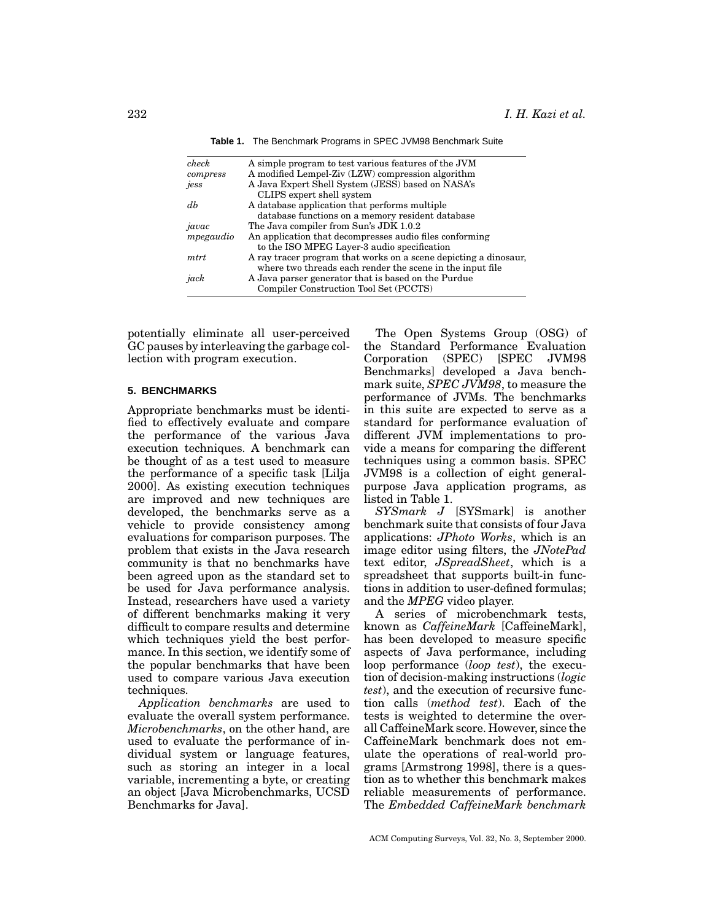| A simple program to test various features of the JVM                                          |
|-----------------------------------------------------------------------------------------------|
| A modified Lempel-Ziv (LZW) compression algorithm                                             |
| A Java Expert Shell System (JESS) based on NASA's                                             |
| CLIPS expert shell system                                                                     |
| A database application that performs multiple                                                 |
| database functions on a memory resident database                                              |
| The Java compiler from Sun's JDK 1.0.2                                                        |
| An application that decompresses audio files conforming                                       |
| to the ISO MPEG Layer-3 audio specification                                                   |
| A ray tracer program that works on a scene depicting a dinosaur,                              |
| where two threads each render the scene in the input file                                     |
| A Java parser generator that is based on the Purdue<br>Compiler Construction Tool Set (PCCTS) |
|                                                                                               |

**Table 1.** The Benchmark Programs in SPEC JVM98 Benchmark Suite

potentially eliminate all user-perceived GC pauses by interleaving the garbage collection with program execution.

## **5. BENCHMARKS**

Appropriate benchmarks must be identified to effectively evaluate and compare the performance of the various Java execution techniques. A benchmark can be thought of as a test used to measure the performance of a specific task [Lilja 2000]. As existing execution techniques are improved and new techniques are developed, the benchmarks serve as a vehicle to provide consistency among evaluations for comparison purposes. The problem that exists in the Java research community is that no benchmarks have been agreed upon as the standard set to be used for Java performance analysis. Instead, researchers have used a variety of different benchmarks making it very difficult to compare results and determine which techniques yield the best performance. In this section, we identify some of the popular benchmarks that have been used to compare various Java execution techniques.

*Application benchmarks* are used to evaluate the overall system performance. *Microbenchmarks*, on the other hand, are used to evaluate the performance of individual system or language features, such as storing an integer in a local variable, incrementing a byte, or creating an object [Java Microbenchmarks, UCSD Benchmarks for Java].

The Open Systems Group (OSG) of the Standard Performance Evaluation Corporation (SPEC) [SPEC JVM98 Benchmarks] developed a Java benchmark suite, *SPEC JVM98*, to measure the performance of JVMs. The benchmarks in this suite are expected to serve as a standard for performance evaluation of different JVM implementations to provide a means for comparing the different techniques using a common basis. SPEC JVM98 is a collection of eight generalpurpose Java application programs, as listed in Table 1.

*SYSmark J* [SYSmark] is another benchmark suite that consists of four Java applications: *JPhoto Works*, which is an image editor using filters, the *JNotePad* text editor, *JSpreadSheet*, which is a spreadsheet that supports built-in functions in addition to user-defined formulas; and the *MPEG* video player.

A series of microbenchmark tests, known as *CaffeineMark* [CaffeineMark], has been developed to measure specific aspects of Java performance, including loop performance (*loop test*), the execution of decision-making instructions (*logic test*), and the execution of recursive function calls (*method test*). Each of the tests is weighted to determine the overall CaffeineMark score. However, since the CaffeineMark benchmark does not emulate the operations of real-world programs [Armstrong 1998], there is a question as to whether this benchmark makes reliable measurements of performance. The *Embedded CaffeineMark benchmark*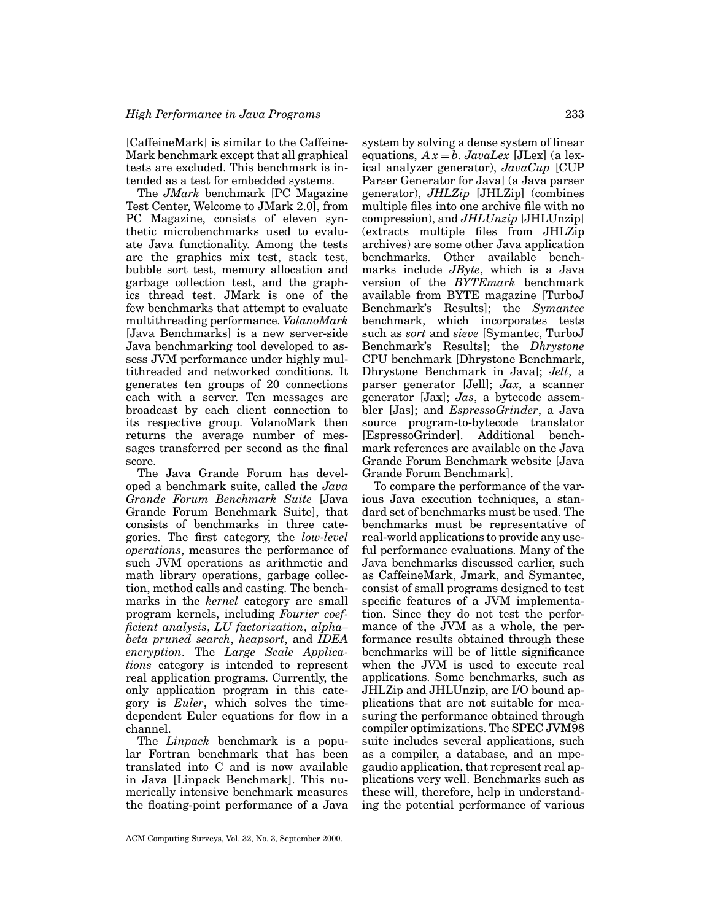[CaffeineMark] is similar to the Caffeine-Mark benchmark except that all graphical tests are excluded. This benchmark is intended as a test for embedded systems.

The *JMark* benchmark [PC Magazine Test Center, Welcome to JMark 2.0], from PC Magazine, consists of eleven synthetic microbenchmarks used to evaluate Java functionality. Among the tests are the graphics mix test, stack test, bubble sort test, memory allocation and garbage collection test, and the graphics thread test. JMark is one of the few benchmarks that attempt to evaluate multithreading performance. *VolanoMark* [Java Benchmarks] is a new server-side Java benchmarking tool developed to assess JVM performance under highly multithreaded and networked conditions. It generates ten groups of 20 connections each with a server. Ten messages are broadcast by each client connection to its respective group. VolanoMark then returns the average number of messages transferred per second as the final score.

The Java Grande Forum has developed a benchmark suite, called the *Java Grande Forum Benchmark Suite* [Java Grande Forum Benchmark Suite], that consists of benchmarks in three categories. The first category, the *low-level operations*, measures the performance of such JVM operations as arithmetic and math library operations, garbage collection, method calls and casting. The benchmarks in the *kernel* category are small program kernels, including *Fourier coefficient analysis*, *LU factorization*, *alpha– beta pruned search*, *heapsort*, and *IDEA encryption*. The *Large Scale Applications* category is intended to represent real application programs. Currently, the only application program in this category is *Euler*, which solves the timedependent Euler equations for flow in a channel.

The *Linpack* benchmark is a popular Fortran benchmark that has been translated into C and is now available in Java [Linpack Benchmark]. This numerically intensive benchmark measures the floating-point performance of a Java

system by solving a dense system of linear equations,  $Ax = b$ . *JavaLex* [JLex] (a lexical analyzer generator), *JavaCup* [CUP Parser Generator for Java] (a Java parser generator), *JHLZip* [JHLZip] (combines multiple files into one archive file with no compression), and *JHLUnzip* [JHLUnzip] (extracts multiple files from JHLZip archives) are some other Java application benchmarks. Other available benchmarks include *JByte*, which is a Java version of the *BYTEmark* benchmark available from BYTE magazine [TurboJ Benchmark's Results]; the *Symantec* benchmark, which incorporates tests such as *sort* and *sieve* [Symantec, TurboJ Benchmark's Results]; the *Dhrystone* CPU benchmark [Dhrystone Benchmark, Dhrystone Benchmark in Java]; *Jell*, a parser generator [Jell]; *Jax*, a scanner generator [Jax]; *Jas*, a bytecode assembler [Jas]; and *EspressoGrinder*, a Java source program-to-bytecode translator [EspressoGrinder]. Additional benchmark references are available on the Java Grande Forum Benchmark website [Java Grande Forum Benchmark].

To compare the performance of the various Java execution techniques, a standard set of benchmarks must be used. The benchmarks must be representative of real-world applications to provide any useful performance evaluations. Many of the Java benchmarks discussed earlier, such as CaffeineMark, Jmark, and Symantec, consist of small programs designed to test specific features of a JVM implementation. Since they do not test the performance of the JVM as a whole, the performance results obtained through these benchmarks will be of little significance when the JVM is used to execute real applications. Some benchmarks, such as JHLZip and JHLUnzip, are I/O bound applications that are not suitable for measuring the performance obtained through compiler optimizations. The SPEC JVM98 suite includes several applications, such as a compiler, a database, and an mpegaudio application, that represent real applications very well. Benchmarks such as these will, therefore, help in understanding the potential performance of various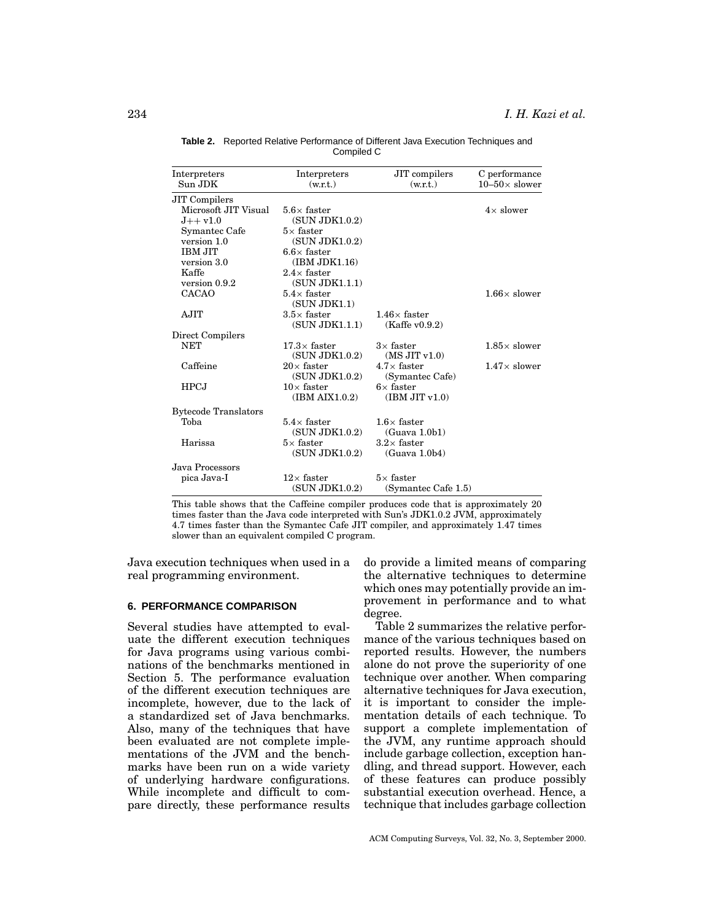| Interpreters<br>Sun JDK | Interpreters<br>(w.r.t.) | JIT compilers<br>(w.r.t.) | C performance<br>$10-50\times$ slower |
|-------------------------|--------------------------|---------------------------|---------------------------------------|
| JIT Compilers           |                          |                           |                                       |
| Microsoft JIT Visual    | $5.6\times$ faster       |                           | $4\times$ slower                      |
| $\rm J++v1.0$           | (SUN JDK1.0.2)           |                           |                                       |
| Symantec Cafe           | $5\times$ faster         |                           |                                       |
| version 1.0             | (SUN JDK1.0.2)           |                           |                                       |
| <b>IBM JIT</b>          | $6.6\times$ faster       |                           |                                       |
| version 3.0             | (IBM JDK1.16)            |                           |                                       |
| Kaffe                   | $2.4\times$ faster       |                           |                                       |
| version 0.9.2           | (SUN JDK1.1.1)           |                           |                                       |
| <b>CACAO</b>            | $5.4\times$ faster       |                           | $1.66\times$ slower                   |
|                         | (SUN JDK1.1)             |                           |                                       |
| AJIT                    | $3.5\times$ faster       | $1.46\times$ faster       |                                       |
|                         | (SUN JDK1.1.1)           | (Kaffe v0.9.2)            |                                       |
| $\rm Direct \, Complex$ |                          |                           |                                       |
| <b>NET</b>              | $17.3\times$ faster      | $3\times$ faster          | $1.85\times$ slower                   |
|                         | (SUN JDK1.0.2)           | (MS JIT v1.0)             |                                       |
| Caffeine                | $20 \times$ faster       | $4.7\times$ faster        | $1.47\times$ slower                   |
|                         | (SUN JDK1.0.2)           | (Symantec Cafe)           |                                       |
| HPCJ                    | $10\times$ faster        | $6\times$ faster          |                                       |
|                         | (IBM AIX1.0.2)           | (IBM JIT v1.0)            |                                       |
| Bytecode Translators    |                          |                           |                                       |
| Toba                    | $5.4\times$ faster       | $1.6\times$ faster        |                                       |
|                         | (SUN JDK1.0.2)           | (Guava 1.0b1)             |                                       |
| Harissa                 | $5\times$ faster         | $3.2\times$ faster        |                                       |
|                         | (SUN JDK1.0.2)           | (Guava 1.0b4)             |                                       |
| Java Processors         |                          |                           |                                       |
| pica Java-I             | $12\times$ faster        | $5\times$ faster          |                                       |
|                         | (SUN JDK1.0.2)           | (Symantec Cafe 1.5)       |                                       |

**Table 2.** Reported Relative Performance of Different Java Execution Techniques and Compiled C

This table shows that the Caffeine compiler produces code that is approximately 20 times faster than the Java code interpreted with Sun's JDK1.0.2 JVM, approximately 4.7 times faster than the Symantec Cafe JIT compiler, and approximately 1.47 times slower than an equivalent compiled C program.

Java execution techniques when used in a real programming environment.

#### **6. PERFORMANCE COMPARISON**

Several studies have attempted to evaluate the different execution techniques for Java programs using various combinations of the benchmarks mentioned in Section 5. The performance evaluation of the different execution techniques are incomplete, however, due to the lack of a standardized set of Java benchmarks. Also, many of the techniques that have been evaluated are not complete implementations of the JVM and the benchmarks have been run on a wide variety of underlying hardware configurations. While incomplete and difficult to compare directly, these performance results do provide a limited means of comparing the alternative techniques to determine which ones may potentially provide an improvement in performance and to what degree.

Table 2 summarizes the relative performance of the various techniques based on reported results. However, the numbers alone do not prove the superiority of one technique over another. When comparing alternative techniques for Java execution, it is important to consider the implementation details of each technique. To support a complete implementation of the JVM, any runtime approach should include garbage collection, exception handling, and thread support. However, each of these features can produce possibly substantial execution overhead. Hence, a technique that includes garbage collection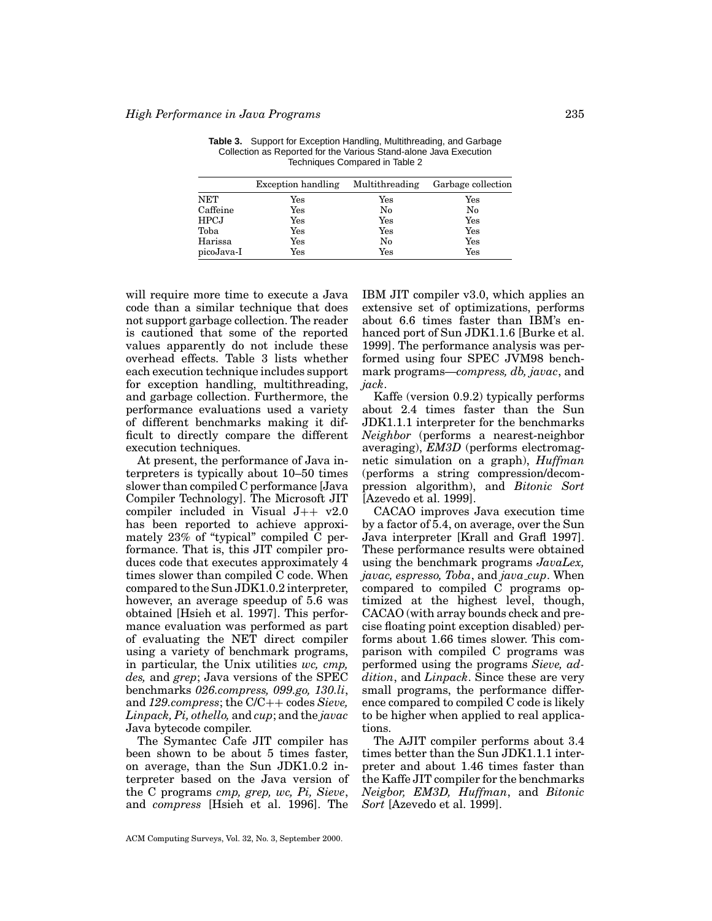|             | Exception handling   | Multithreading       | Garbage collection   |
|-------------|----------------------|----------------------|----------------------|
| <b>NET</b>  | Yes                  | Yes                  | Yes                  |
| Caffeine    | $\operatorname{Yes}$ | No                   | No                   |
| <b>HPCJ</b> | $\operatorname{Yes}$ | $\operatorname{Yes}$ | $\operatorname{Yes}$ |
| Toba        | $\operatorname{Yes}$ | $_{\rm Yes}$         | $\operatorname{Yes}$ |
| Harissa     | $\operatorname{Yes}$ | No                   | $\operatorname{Yes}$ |
| picoJava-I  | $\operatorname{Yes}$ | $\operatorname{Yes}$ | $\operatorname{Yes}$ |

**Table 3.** Support for Exception Handling, Multithreading, and Garbage Collection as Reported for the Various Stand-alone Java Execution Techniques Compared in Table 2

will require more time to execute a Java code than a similar technique that does not support garbage collection. The reader is cautioned that some of the reported values apparently do not include these overhead effects. Table 3 lists whether each execution technique includes support for exception handling, multithreading, and garbage collection. Furthermore, the performance evaluations used a variety of different benchmarks making it difficult to directly compare the different execution techniques.

At present, the performance of Java interpreters is typically about 10–50 times slower than compiled C performance [Java Compiler Technology]. The Microsoft JIT compiler included in Visual  $J_{++}$  v2.0 has been reported to achieve approximately 23% of "typical" compiled C performance. That is, this JIT compiler produces code that executes approximately 4 times slower than compiled C code. When compared to the Sun JDK1.0.2 interpreter, however, an average speedup of 5.6 was obtained [Hsieh et al. 1997]. This performance evaluation was performed as part of evaluating the NET direct compiler using a variety of benchmark programs, in particular, the Unix utilities *wc, cmp, des,* and *grep*; Java versions of the SPEC benchmarks *026.compress, 099.go, 130.li*, and *129.compress*; the C/C++ codes *Sieve, Linpack, Pi, othello,* and *cup*; and the *javac* Java bytecode compiler.

The Symantec Cafe JIT compiler has been shown to be about 5 times faster, on average, than the Sun JDK1.0.2 interpreter based on the Java version of the C programs *cmp, grep, wc, Pi, Sieve*, and *compress* [Hsieh et al. 1996]. The

IBM JIT compiler v3.0, which applies an extensive set of optimizations, performs about 6.6 times faster than IBM's enhanced port of Sun JDK1.1.6 [Burke et al. 1999]. The performance analysis was performed using four SPEC JVM98 benchmark programs—*compress, db, javac*, and *jack*.

Kaffe (version 0.9.2) typically performs about 2.4 times faster than the Sun JDK1.1.1 interpreter for the benchmarks *Neighbor* (performs a nearest-neighbor averaging), *EM3D* (performs electromagnetic simulation on a graph), *Huffman* (performs a string compression/decompression algorithm), and *Bitonic Sort* [Azevedo et al. 1999].

CACAO improves Java execution time by a factor of 5.4, on average, over the Sun Java interpreter [Krall and Grafl 1997]. These performance results were obtained using the benchmark programs *JavaLex, javac, espresso, Toba*, and *java cup*. When compared to compiled C programs optimized at the highest level, though, CACAO (with array bounds check and precise floating point exception disabled) performs about 1.66 times slower. This comparison with compiled C programs was performed using the programs *Sieve, addition*, and *Linpack*. Since these are very small programs, the performance difference compared to compiled C code is likely to be higher when applied to real applications.

The AJIT compiler performs about 3.4 times better than the Sun JDK1.1.1 interpreter and about 1.46 times faster than the Kaffe JIT compiler for the benchmarks *Neigbor, EM3D, Huffman*, and *Bitonic Sort* [Azevedo et al. 1999].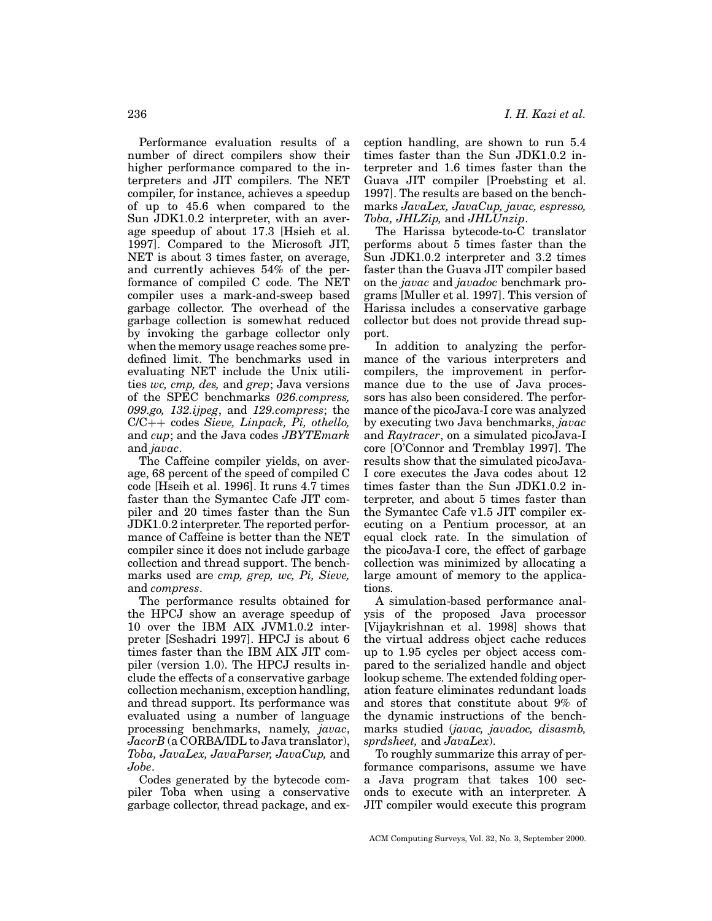Performance evaluation results of a number of direct compilers show their higher performance compared to the interpreters and JIT compilers. The NET compiler, for instance, achieves a speedup of up to 45.6 when compared to the Sun JDK1.0.2 interpreter, with an average speedup of about 17.3 [Hsieh et al. 1997]. Compared to the Microsoft JIT, NET is about 3 times faster, on average, and currently achieves 54% of the performance of compiled C code. The NET compiler uses a mark-and-sweep based garbage collector. The overhead of the garbage collection is somewhat reduced by invoking the garbage collector only when the memory usage reaches some predefined limit. The benchmarks used in evaluating NET include the Unix utilities *wc, cmp, des,* and *grep*; Java versions of the SPEC benchmarks *026.compress, 099.go, 132.ijpeg*, and *129.compress*; the C/C++ codes *Sieve, Linpack, Pi, othello,* and *cup*; and the Java codes *JBYTEmark* and *javac*.

The Caffeine compiler yields, on average, 68 percent of the speed of compiled C code [Hseih et al. 1996]. It runs 4.7 times faster than the Symantec Cafe JIT compiler and 20 times faster than the Sun JDK1.0.2 interpreter. The reported performance of Caffeine is better than the NET compiler since it does not include garbage collection and thread support. The benchmarks used are *cmp, grep, wc, Pi, Sieve,* and *compress*.

The performance results obtained for the HPCJ show an average speedup of 10 over the IBM AIX JVM1.0.2 interpreter [Seshadri 1997]. HPCJ is about 6 times faster than the IBM AIX JIT compiler (version 1.0). The HPCJ results include the effects of a conservative garbage collection mechanism, exception handling, and thread support. Its performance was evaluated using a number of language processing benchmarks, namely, *javac*, *JacorB* (a CORBA/IDL to Java translator), *Toba, JavaLex, JavaParser, JavaCup,* and *Jobe*.

Codes generated by the bytecode compiler Toba when using a conservative garbage collector, thread package, and exception handling, are shown to run 5.4 times faster than the Sun JDK1.0.2 interpreter and 1.6 times faster than the Guava JIT compiler [Proebsting et al. 1997]. The results are based on the benchmarks *JavaLex, JavaCup, javac, espresso, Toba, JHLZip,* and *JHLUnzip*.

The Harissa bytecode-to-C translator performs about 5 times faster than the Sun JDK1.0.2 interpreter and 3.2 times faster than the Guava JIT compiler based on the *javac* and *javadoc* benchmark programs [Muller et al. 1997]. This version of Harissa includes a conservative garbage collector but does not provide thread support.

In addition to analyzing the performance of the various interpreters and compilers, the improvement in performance due to the use of Java processors has also been considered. The performance of the picoJava-I core was analyzed by executing two Java benchmarks, *javac* and *Raytracer*, on a simulated picoJava-I core [O'Connor and Tremblay 1997]. The results show that the simulated picoJava-I core executes the Java codes about 12 times faster than the Sun JDK1.0.2 interpreter, and about 5 times faster than the Symantec Cafe v1.5 JIT compiler executing on a Pentium processor, at an equal clock rate. In the simulation of the picoJava-I core, the effect of garbage collection was minimized by allocating a large amount of memory to the applications.

A simulation-based performance analysis of the proposed Java processor [Vijaykrishnan et al. 1998] shows that the virtual address object cache reduces up to 1.95 cycles per object access compared to the serialized handle and object lookup scheme. The extended folding operation feature eliminates redundant loads and stores that constitute about 9% of the dynamic instructions of the benchmarks studied (*javac, javadoc, disasmb, sprdsheet,* and *JavaLex*).

To roughly summarize this array of performance comparisons, assume we have a Java program that takes 100 seconds to execute with an interpreter. A JIT compiler would execute this program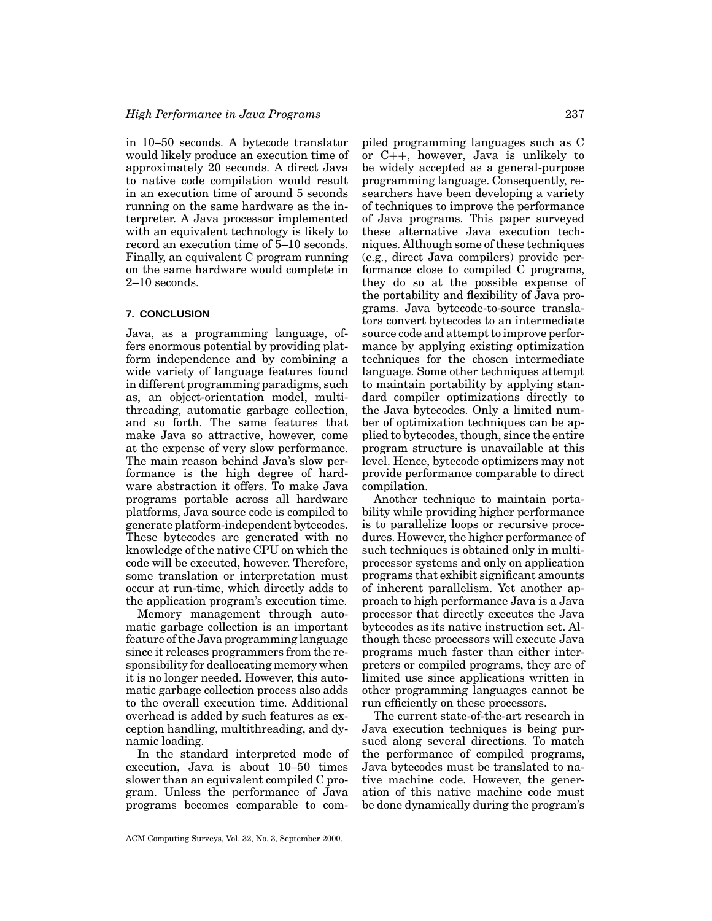in 10–50 seconds. A bytecode translator would likely produce an execution time of approximately 20 seconds. A direct Java to native code compilation would result in an execution time of around 5 seconds running on the same hardware as the interpreter. A Java processor implemented with an equivalent technology is likely to record an execution time of 5–10 seconds. Finally, an equivalent C program running on the same hardware would complete in 2–10 seconds.

## **7. CONCLUSION**

Java, as a programming language, offers enormous potential by providing platform independence and by combining a wide variety of language features found in different programming paradigms, such as, an object-orientation model, multithreading, automatic garbage collection, and so forth. The same features that make Java so attractive, however, come at the expense of very slow performance. The main reason behind Java's slow performance is the high degree of hardware abstraction it offers. To make Java programs portable across all hardware platforms, Java source code is compiled to generate platform-independent bytecodes. These bytecodes are generated with no knowledge of the native CPU on which the code will be executed, however. Therefore, some translation or interpretation must occur at run-time, which directly adds to the application program's execution time.

Memory management through automatic garbage collection is an important feature of the Java programming language since it releases programmers from the responsibility for deallocating memory when it is no longer needed. However, this automatic garbage collection process also adds to the overall execution time. Additional overhead is added by such features as exception handling, multithreading, and dynamic loading.

In the standard interpreted mode of execution, Java is about 10–50 times slower than an equivalent compiled C program. Unless the performance of Java programs becomes comparable to com-

piled programming languages such as C or C++, however, Java is unlikely to be widely accepted as a general-purpose programming language. Consequently, researchers have been developing a variety of techniques to improve the performance of Java programs. This paper surveyed these alternative Java execution techniques. Although some of these techniques (e.g., direct Java compilers) provide performance close to compiled C programs, they do so at the possible expense of the portability and flexibility of Java programs. Java bytecode-to-source translators convert bytecodes to an intermediate source code and attempt to improve performance by applying existing optimization techniques for the chosen intermediate language. Some other techniques attempt to maintain portability by applying standard compiler optimizations directly to the Java bytecodes. Only a limited number of optimization techniques can be applied to bytecodes, though, since the entire program structure is unavailable at this level. Hence, bytecode optimizers may not provide performance comparable to direct compilation.

Another technique to maintain portability while providing higher performance is to parallelize loops or recursive procedures. However, the higher performance of such techniques is obtained only in multiprocessor systems and only on application programs that exhibit significant amounts of inherent parallelism. Yet another approach to high performance Java is a Java processor that directly executes the Java bytecodes as its native instruction set. Although these processors will execute Java programs much faster than either interpreters or compiled programs, they are of limited use since applications written in other programming languages cannot be run efficiently on these processors.

The current state-of-the-art research in Java execution techniques is being pursued along several directions. To match the performance of compiled programs, Java bytecodes must be translated to native machine code. However, the generation of this native machine code must be done dynamically during the program's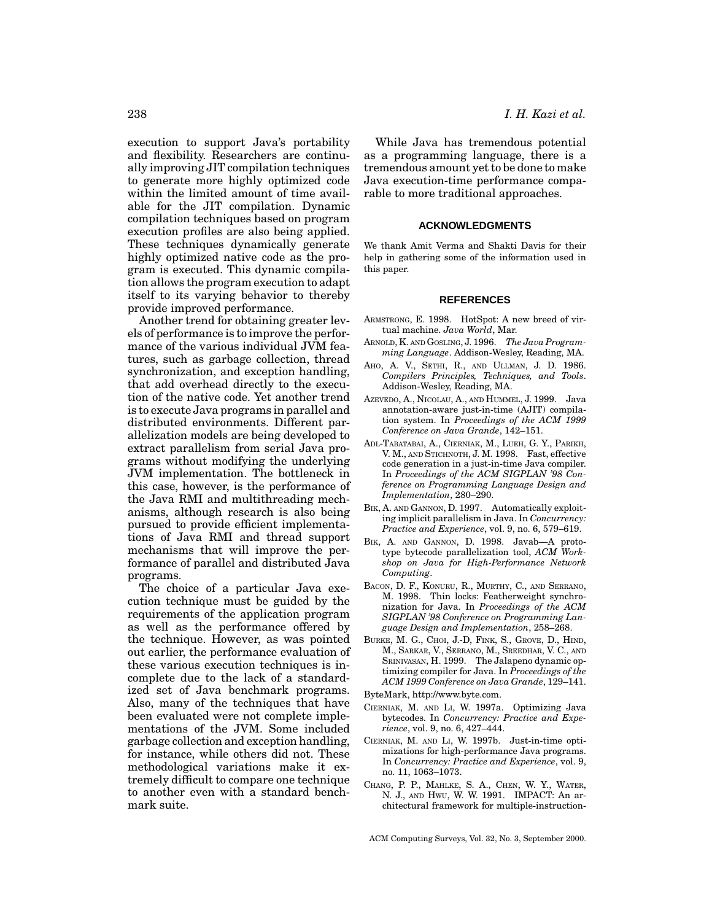execution to support Java's portability and flexibility. Researchers are continually improving JIT compilation techniques to generate more highly optimized code within the limited amount of time available for the JIT compilation. Dynamic compilation techniques based on program execution profiles are also being applied. These techniques dynamically generate highly optimized native code as the program is executed. This dynamic compilation allows the program execution to adapt itself to its varying behavior to thereby provide improved performance.

Another trend for obtaining greater levels of performance is to improve the performance of the various individual JVM features, such as garbage collection, thread synchronization, and exception handling, that add overhead directly to the execution of the native code. Yet another trend is to execute Java programs in parallel and distributed environments. Different parallelization models are being developed to extract parallelism from serial Java programs without modifying the underlying JVM implementation. The bottleneck in this case, however, is the performance of the Java RMI and multithreading mechanisms, although research is also being pursued to provide efficient implementations of Java RMI and thread support mechanisms that will improve the performance of parallel and distributed Java programs.

The choice of a particular Java execution technique must be guided by the requirements of the application program as well as the performance offered by the technique. However, as was pointed out earlier, the performance evaluation of these various execution techniques is incomplete due to the lack of a standardized set of Java benchmark programs. Also, many of the techniques that have been evaluated were not complete implementations of the JVM. Some included garbage collection and exception handling, for instance, while others did not. These methodological variations make it extremely difficult to compare one technique to another even with a standard benchmark suite.

While Java has tremendous potential as a programming language, there is a tremendous amount yet to be done to make Java execution-time performance comparable to more traditional approaches.

### **ACKNOWLEDGMENTS**

We thank Amit Verma and Shakti Davis for their help in gathering some of the information used in this paper.

#### **REFERENCES**

- ARMSTRONG, E. 1998. HotSpot: A new breed of virtual machine. *Java World*, Mar.
- ARNOLD, K. AND GOSLING, J. 1996. *The Java Programming Language*. Addison-Wesley, Reading, MA.
- AHO, A. V., SETHI, R., AND ULLMAN, J. D. 1986. *Compilers Principles, Techniques, and Tools*. Addison-Wesley, Reading, MA.
- AZEVEDO, A., NICOLAU, A., AND HUMMEL, J. 1999. Java annotation-aware just-in-time (AJIT) compilation system. In *Proceedings of the ACM 1999 Conference on Java Grande*, 142–151.
- ADL-TABATABAI, A., CIERNIAK, M., LUEH, G. Y., PARIKH, V. M., AND STICHNOTH, J. M. 1998. Fast, effective code generation in a just-in-time Java compiler. In *Proceedings of the ACM SIGPLAN '98 Conference on Programming Language Design and Implementation*, 280–290.
- BIK, A. AND GANNON, D. 1997. Automatically exploiting implicit parallelism in Java. In *Concurrency: Practice and Experience*, vol. 9, no. 6, 579–619.
- BIK, A. AND GANNON, D. 1998. Javab—A prototype bytecode parallelization tool, *ACM Workshop on Java for High-Performance Network Computing*.
- BACON, D. F., KONURU, R., MURTHY, C., AND SERRANO, M. 1998. Thin locks: Featherweight synchronization for Java. In *Proceedings of the ACM SIGPLAN '98 Conference on Programming Language Design and Implementation*, 258–268.
- BURKE, M. G., CHOI, J.-D, FINK, S., GROVE, D., HIND, M., SARKAR, V., SERRANO, M., SREEDHAR, V. C., AND SRINIVASAN, H. 1999. The Jalapeno dynamic optimizing compiler for Java. In *Proceedings of the ACM 1999 Conference on Java Grande*, 129–141.
- ByteMark, http://www.byte.com.
- CIERNIAK, M. AND LI, W. 1997a. Optimizing Java bytecodes. In *Concurrency: Practice and Experience*, vol. 9, no. 6, 427–444.
- CIERNIAK, M. AND LI, W. 1997b. Just-in-time optimizations for high-performance Java programs. In *Concurrency: Practice and Experience*, vol. 9, no. 11, 1063–1073.
- CHANG, P. P., MAHLKE, S. A., CHEN, W. Y., WATER, N. J., AND HWU, W. W. 1991. IMPACT: An architectural framework for multiple-instruction-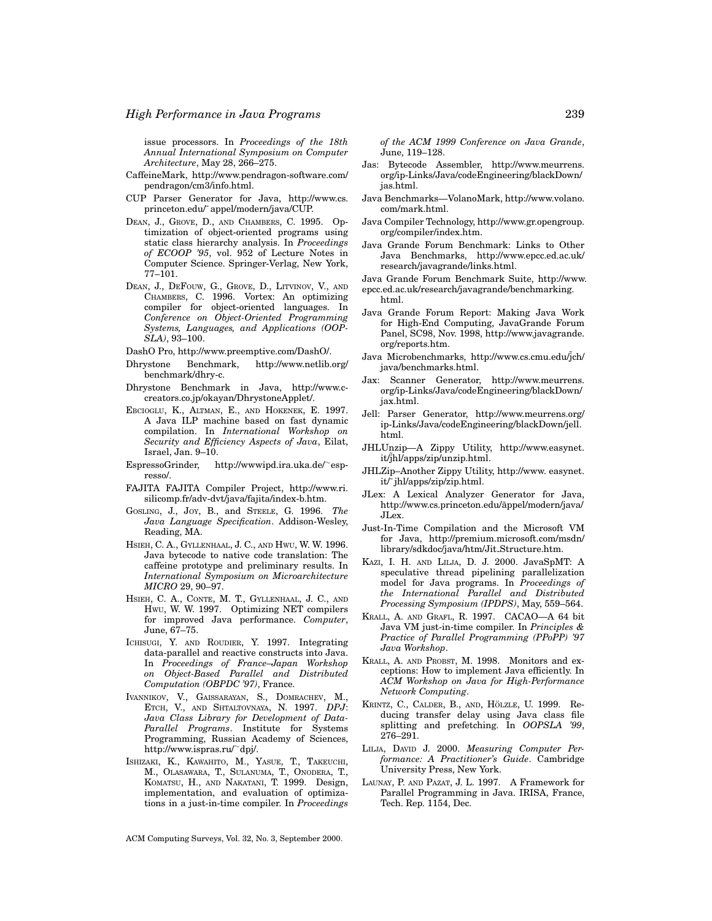issue processors. In *Proceedings of the 18th Annual International Symposium on Computer Architecture*, May 28, 266–275.

- CaffeineMark, http://www.pendragon-software.com/ pendragon/cm3/info.html.
- CUP Parser Generator for Java, http://www.cs. princeton.edu/˜ appel/modern/java/CUP.
- DEAN, J., GROVE, D., AND CHAMBERS, C. 1995. Optimization of object-oriented programs using static class hierarchy analysis. In *Proceedings of ECOOP '95*, vol. 952 of Lecture Notes in Computer Science. Springer-Verlag, New York, 77–101.
- DEAN, J., DEFOUW, G., GROVE, D., LITVINOV, V., AND CHAMBERS, C. 1996. Vortex: An optimizing compiler for object-oriented languages. In *Conference on Object-Oriented Programming Systems, Languages, and Applications (OOP-SLA)*, 93–100.
- DashO Pro, http://www.preemptive.com/DashO/.
- Dhrystone Benchmark, http://www.netlib.org/ benchmark/dhry-c.
- Dhrystone Benchmark in Java, http://www.ccreators.co.jp/okayan/DhrystoneApplet/.
- EBCIOGLU, K., ALTMAN, E., AND HOKENEK, E. 1997. A Java ILP machine based on fast dynamic compilation. In *International Workshop on Security and Efficiency Aspects of Java*, Eilat, Israel, Jan. 9–10.
- EspressoGrinder, http://wwwipd.ira.uka.de/∼espresso/.
- FAJITA FAJITA Compiler Project, http://www.ri. silicomp.fr/adv-dvt/java/fajita/index-b.htm.
- GOSLING, J., JOY, B., and STEELE, G. 1996. *The Java Language Specification*. Addison-Wesley, Reading, MA.
- HSIEH, C. A., GYLLENHAAL, J. C., AND HWU, W. W. 1996. Java bytecode to native code translation: The caffeine prototype and preliminary results. In *International Symposium on Microarchitecture MICRO* 29, 90–97.
- HSIEH, C. A., CONTE, M. T., GYLLENHAAL, J. C., AND HWU, W. W. 1997. Optimizing NET compilers for improved Java performance. *Computer*, June, 67–75.
- ICHISUGI, Y. AND ROUDIER, Y. 1997. Integrating data-parallel and reactive constructs into Java. In *Proceedings of France–Japan Workshop on Object-Based Parallel and Distributed Computation (OBPDC '97)*, France.
- IVANNIKOV, V., GAISSARAYAN, S., DOMRACHEV, M., ETCH, V., AND SHTALTOVNAYA, N. 1997. *DPJ*: *Java Class Library for Development of Data-Parallel Programs*. Institute for Systems Programming, Russian Academy of Sciences, http://www.ispras.ru/∼dpj/.
- ISHIZAKI, K., KAWAHITO, M., YASUE, T., TAKEUCHI, M., OLASAWARA, T., SULANUMA, T., ONODERA, T., KOMATSU, H., AND NAKATANI, T. 1999. Design, implementation, and evaluation of optimizations in a just-in-time compiler. In *Proceedings*

*of the ACM 1999 Conference on Java Grande*, June, 119–128.

- Jas: Bytecode Assembler, http://www.meurrens. org/ip-Links/Java/codeEngineering/blackDown/ jas.html.
- Java Benchmarks—VolanoMark, http://www.volano. com/mark.html.
- Java Compiler Technology, http://www.gr.opengroup. org/compiler/index.htm.
- Java Grande Forum Benchmark: Links to Other Java Benchmarks, http://www.epcc.ed.ac.uk/ research/javagrande/links.html.
- Java Grande Forum Benchmark Suite, http://www. epcc.ed.ac.uk/research/javagrande/benchmarking.
- html.
- Java Grande Forum Report: Making Java Work for High-End Computing, JavaGrande Forum Panel, SC98, Nov. 1998, http://www.javagrande. org/reports.htm.
- Java Microbenchmarks, http://www.cs.cmu.edu/jch/ java/benchmarks.html.
- Jax: Scanner Generator, http://www.meurrens. org/ip-Links/Java/codeEngineering/blackDown/ jax.html.
- Jell: Parser Generator, http://www.meurrens.org/ ip-Links/Java/codeEngineering/blackDown/jell. html.
- JHLUnzip—A Zippy Utility, http://www.easynet. it/˜ jhl/apps/zip/unzip.html.
- JHLZip–Another Zippy Utility, http://www. easynet. it/˜ jhl/apps/zip/zip.html.
- JLex: A Lexical Analyzer Generator for Java, http://www.cs.princeton.edu/appel/modern/java/ ˜ JLex.
- Just-In-Time Compilation and the Microsoft VM for Java, http://premium.microsoft.com/msdn/ library/sdkdoc/java/htm/Jit Structure.htm.
- KAZI, I. H. AND LILJA, D. J. 2000. JavaSpMT: A speculative thread pipelining parallelization model for Java programs. In *Proceedings of the International Parallel and Distributed Processing Symposium (IPDPS)*, May, 559–564.
- KRALL, A. AND GRAFL, R. 1997. CACAO—A 64 bit Java VM just-in-time compiler. In *Principles & Practice of Parallel Programming (PPoPP) '97 Java Workshop*.
- KRALL, A. AND PROBST, M. 1998. Monitors and exceptions: How to implement Java efficiently. In *ACM Workshop on Java for High-Performance Network Computing*.
- KRINTZ, C., CALDER, B., AND, HÖLZLE, U. 1999. Reducing transfer delay using Java class file splitting and prefetching. In *OOPSLA '99*, 276–291.
- LILJA, DAVID J. 2000. *Measuring Computer Performance: A Practitioner's Guide*. Cambridge University Press, New York.
- LAUNAY, P. AND PAZAT, J. L. 1997. A Framework for Parallel Programming in Java. IRISA, France, Tech. Rep. 1154, Dec.